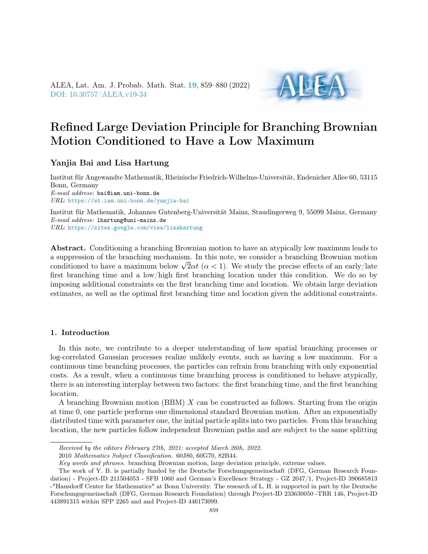ALEA, Lat. Am. J. Probab. Math. Stat. [19](http://alea.impa.br/english/index_v19.htm), 859–880 (2022) [DOI: 10.30757/ALEA.v19-34](https://doi.org/10.30757/ALEA.v19-34)



# Refined Large Deviation Principle for Branching Brownian Motion Conditioned to Have a Low Maximum

## Yanjia Bai and Lisa Hartung

Institut für Angewandte Mathematik, Rheinische Friedrich-Wilhelms-Universität, Endenicher Allee 60, 53115 Bonn, Germany E-mail address: bai@iam.uni-bonn.de URL: <https://wt.iam.uni-bonn.de/yanjia-bai>

Institut für Mathematik, Johannes Gutenberg-Universität Mainz, Staudingerweg 9, 55099 Mainz, Germany E-mail address: lhartung@uni-mainz.de URL: <https://sites.google.com/view/lisahartung>

Abstract. Conditioning a branching Brownian motion to have an atypically low maximum leads to a suppression of the branching mechanism. In this note, we consider a branching Brownian motion a suppression of the branching mechanism. In this note, we consider a branching Brownian motion<br>conditioned to have a maximum below  $\sqrt{2}\alpha t$  ( $\alpha < 1$ ). We study the precise effects of an early/late first branching time and a low/high first branching location under this condition. We do so by imposing additional constraints on the first branching time and location. We obtain large deviation estimates, as well as the optimal first branching time and location given the additional constraints.

### 1. Introduction

In this note, we contribute to a deeper understanding of how spatial branching processes or log-correlated Gaussian processes realize unlikely events, such as having a low maximum. For a continuous time branching processes, the particles can refrain from branching with only exponential costs. As a result, when a continuous time branching process is conditioned to behave atypically, there is an interesting interplay between two factors: the first branching time, and the first branching location.

A branching Brownian motion (BBM) X can be constructed as follows. Starting from the origin at time 0, one particle performs one dimensional standard Brownian motion. After an exponentially distributed time with parameter one, the initial particle splits into two particles. From this branching location, the new particles follow independent Brownian paths and are subject to the same splitting

Received by the editors February 27th, 2021; accepted March 26th, 2022.

<sup>2010</sup> Mathematics Subject Classification. 60J80, 60G70, 82B44.

Key words and phrases. branching Brownian motion, large deviation principle, extreme values.

The work of Y. B. is partially funded by the Deutsche Forschungsgemeinschaft (DFG, German Research Foundation) - Project-ID 211504053 - SFB 1060 and German's Excellence Strategy - GZ 2047/1, Project-ID 390685813 -"Hausdorff Center for Mathematics" at Bonn University. The research of L. H. is supported in part by the Deutsche Forschungsgemeinschaft (DFG, German Research Foundation) through Project-ID 233630050 -TRR 146, Project-ID 443891315 within SPP 2265 and and Project-ID 446173099.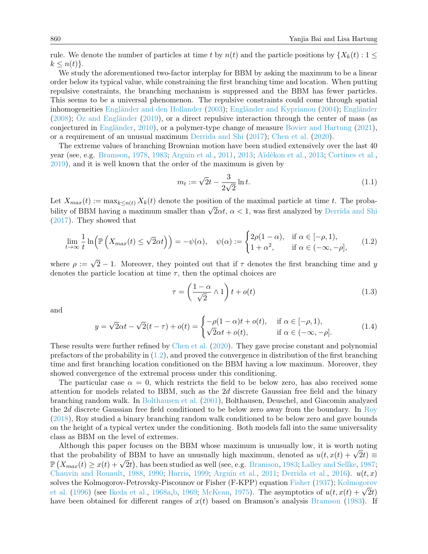rule. We denote the number of particles at time t by  $n(t)$  and the particle positions by  $\{X_k(t): 1 \leq$  $k \leq n(t)$ .

We study the aforementioned two-factor interplay for BBM by asking the maximum to be a linear order below its typical value, while constraining the first branching time and location. When putting repulsive constraints, the branching mechanism is suppressed and the BBM has fewer particles. This seems to be a universal phenomenon. The repulsive constraints could come through spatial inhomogeneities [Engländer and den Hollander](#page-21-0) [\(2003\)](#page-21-0); [Engländer and Kyprianou](#page-21-1) [\(2004\)](#page-21-1); [Engländer](#page-21-2) [\(2008\)](#page-21-2); [Öz and Engländer](#page-21-3) [\(2019\)](#page-21-3), or a direct repulsive interaction through the center of mass (as conjectured in [Engländer,](#page-21-4) [2010\)](#page-21-4), or a polymer-type change of measure [Bovier and Hartung](#page-20-0) [\(2021\)](#page-20-0), or a requirement of an unusual maximum [Derrida and Shi](#page-21-5) [\(2017\)](#page-21-5); [Chen et al.](#page-20-1) [\(2020\)](#page-20-1).

The extreme values of branching Brownian motion have been studied extensively over the last 40 year (see, e.g. [Bramson,](#page-20-2) [1978,](#page-20-2) [1983;](#page-20-3) [Arguin et al.,](#page-20-4) [2011,](#page-20-4) [2013;](#page-20-5) [Aïdékon et al.,](#page-20-6) [2013;](#page-20-6) [Cortines et al.,](#page-21-6) [2019\)](#page-21-6), and it is well known that the order of the maximum is given by

$$
m_t := \sqrt{2}t - \frac{3}{2\sqrt{2}}\ln t.
$$
 (1.1)

Let  $X_{max}(t) := \max_{k \leq n(t)} X_k(t)$  denote the position of the maximal particle at time t. The probability of BBM having a maximum smaller than  $\sqrt{2\alpha}t$ ,  $\alpha < 1$ , was first analyzed by [Derrida and Shi](#page-21-5) [\(2017\)](#page-21-5). They showed that

<span id="page-1-0"></span>
$$
\lim_{t \to \infty} \frac{1}{t} \ln \left( \mathbb{P} \left( X_{max}(t) \le \sqrt{2} \alpha t \right) \right) = -\psi(\alpha), \quad \psi(\alpha) := \begin{cases} 2\rho(1-\alpha), & \text{if } \alpha \in [-\rho, 1), \\ 1+\alpha^2, & \text{if } \alpha \in (-\infty, -\rho], \end{cases}
$$
(1.2)

where  $\rho := \sqrt{2} - 1$ . Moreover, they pointed out that if  $\tau$  denotes the first branching time and y denotes the particle location at time  $\tau$ , then the optimal choices are

<span id="page-1-1"></span>
$$
\tau = \left(\frac{1-\alpha}{\sqrt{2}} \wedge 1\right) t + o(t) \tag{1.3}
$$

and

$$
y = \sqrt{2}\alpha t - \sqrt{2}(t - \tau) + o(t) = \begin{cases} -\rho(1 - \alpha)t + o(t), & \text{if } \alpha \in [-\rho, 1), \\ \sqrt{2}\alpha t + o(t), & \text{if } \alpha \in (-\infty, -\rho]. \end{cases}
$$
(1.4)

These results were further refined by [Chen et al.](#page-20-1) [\(2020\)](#page-20-1). They gave precise constant and polynomial prefactors of the probability in [\(1.2\)](#page-1-0), and proved the convergence in distribution of the first branching time and first branching location conditioned on the BBM having a low maximum. Moreover, they showed convergence of the extremal process under this conditioning.

The particular case  $\alpha = 0$ , which restricts the field to be below zero, has also received some attention for models related to BBM, such as the  $2d$  discrete Gaussian free field and the binary branching random walk. In [Bolthausen et al.](#page-20-7) [\(2001\)](#page-20-7), Bolthausen, Deuschel, and Giacomin analyzed the 2d discrete Gaussian free field conditioned to be below zero away from the boundary. In [Roy](#page-21-7) [\(2018\)](#page-21-7), Roy studied a binary branching random walk conditioned to be below zero and gave bounds on the height of a typical vertex under the conditioning. Both models fall into the same universality class as BBM on the level of extremes.

Although this paper focuses on the BBM whose maximum is unusually low, it is worth noting Although this paper focuses on the BBM whose maximum is unusually low, it is worth noting that the probability of BBM to have an unusually high maximum, denoted as  $u(t, x(t) + \sqrt{2}t) \equiv$ that the probability of BBM to have an unusually high maximum, denoted as  $u(t, x(t) + \sqrt{2}t) =$ <br> $\mathbb{P}\left(X_{max}(t) \geq x(t) + \sqrt{2}t\right)$ , has been studied as well (see, e.g. [Bramson,](#page-20-3) [1983;](#page-20-3) [Lalley and Sellke,](#page-21-8) [1987;](#page-21-8) [Chauvin and Rouault,](#page-20-8) [1988,](#page-20-8) [1990;](#page-20-9) [Harris,](#page-21-9) [1999;](#page-21-9) [Arguin et al.,](#page-20-4) [2011;](#page-20-4) [Derrida et al.,](#page-21-10) [2016\)](#page-21-10).  $u(t, x)$ solves the Kolmogorov-Petrovsky-Piscounov or Fisher (F-KPP) equation [Fisher](#page-21-11) [\(1937\)](#page-21-11); [Kolmogorov](#page-21-12) [et al.](#page-21-12) [\(1996\)](#page-21-12) (see [Ikeda et al.,](#page-21-13) [1968a](#page-21-13)[,b,](#page-21-14) [1969;](#page-21-15) [McKean,](#page-21-16) [1975\)](#page-21-16). The asymptotics of  $u(t, x(t) + \sqrt{2}t)$ have been obtained for different ranges of  $x(t)$  based on [Bramson](#page-20-3)'s analysis Bramson [\(1983\)](#page-20-3). If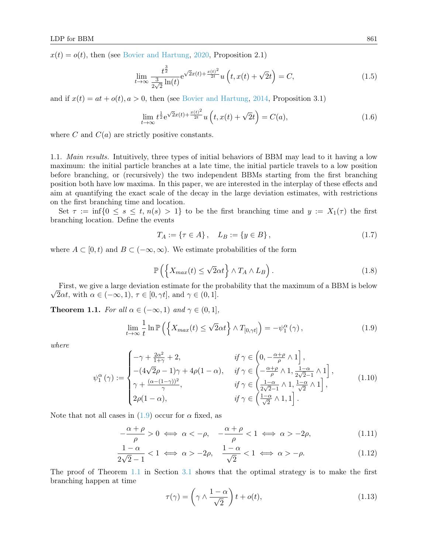$x(t) = o(t)$ , then (see [Bovier and Hartung,](#page-20-10) [2020,](#page-20-10) Proposition 2.1)

<span id="page-2-5"></span>
$$
\lim_{t \to \infty} \frac{t^{\frac{3}{2}}}{\frac{3}{2\sqrt{2}} \ln(t)} e^{\sqrt{2}x(t) + \frac{x(t)^2}{2t}} u\left(t, x(t) + \sqrt{2}t\right) = C,\tag{1.5}
$$

and if  $x(t) = at + o(t)$ ,  $a > 0$ , then (see [Bovier and Hartung,](#page-20-11) [2014,](#page-20-11) Proposition 3.1)

<span id="page-2-6"></span>
$$
\lim_{t \to \infty} t^{\frac{1}{2}} e^{\sqrt{2}x(t) + \frac{x(t)^2}{2t}} u\left(t, x(t) + \sqrt{2}t\right) = C(a),\tag{1.6}
$$

where C and  $C(a)$  are strictly positive constants.

1.1. Main results. Intuitively, three types of initial behaviors of BBM may lead to it having a low maximum: the initial particle branches at a late time, the initial particle travels to a low position before branching, or (recursively) the two independent BBMs starting from the first branching position both have low maxima. In this paper, we are interested in the interplay of these effects and aim at quantifying the exact scale of the decay in the large deviation estimates, with restrictions on the first branching time and location.

Set  $\tau := \inf\{0 \le s \le t, n(s) > 1\}$  to be the first branching time and  $y := X_1(\tau)$  the first branching location. Define the events

$$
T_A := \{ \tau \in A \}, \quad L_B := \{ y \in B \}, \tag{1.7}
$$

where  $A \subset [0, t)$  and  $B \subset (-\infty, \infty)$ . We estimate probabilities of the form

$$
\mathbb{P}\left(\left\{X_{max}(t) \le \sqrt{2}\alpha t\right\} \wedge T_A \wedge L_B\right). \tag{1.8}
$$

√ First, we give a large deviation estimate for the probability that the maximum of a BBM is below  $2\alpha t$ , with  $\alpha \in (-\infty, 1)$ ,  $\tau \in [0, \gamma t]$ , and  $\gamma \in (0, 1]$ .

<span id="page-2-1"></span>**Theorem 1.1.** For all  $\alpha \in (-\infty, 1)$  and  $\gamma \in (0, 1]$ ,

<span id="page-2-0"></span>
$$
\lim_{t \to \infty} \frac{1}{t} \ln \mathbb{P}\left(\left\{X_{max}(t) \le \sqrt{2}\alpha t\right\} \wedge T_{[0,\gamma t]}\right) = -\psi_1^{\alpha}(\gamma),\tag{1.9}
$$

where

<span id="page-2-3"></span>
$$
\psi_1^{\alpha}(\gamma) := \begin{cases}\n-\gamma + \frac{2\alpha^2}{1+\gamma} + 2, & \text{if } \gamma \in \left(0, -\frac{\alpha+\rho}{\rho} \wedge 1\right], \\
-(4\sqrt{2}\rho - 1)\gamma + 4\rho(1-\alpha), & \text{if } \gamma \in \left(-\frac{\alpha+\rho}{\rho} \wedge 1, \frac{1-\alpha}{2\sqrt{2}-1} \wedge 1\right], \\
\gamma + \frac{(\alpha - (1-\gamma))^2}{\gamma}, & \text{if } \gamma \in \left(\frac{1-\alpha}{2\sqrt{2}-1} \wedge 1, \frac{1-\alpha}{\sqrt{2}} \wedge 1\right], \\
2\rho(1-\alpha), & \text{if } \gamma \in \left(\frac{1-\alpha}{\sqrt{2}} \wedge 1, 1\right].\n\end{cases} (1.10)
$$

Note that not all cases in  $(1.9)$  occur for  $\alpha$  fixed, as

$$
-\frac{\alpha+\rho}{\rho} > 0 \iff \alpha < -\rho, \quad -\frac{\alpha+\rho}{\rho} < 1 \iff \alpha > -2\rho,
$$
\n(1.11)

$$
\frac{1-\alpha}{2\sqrt{2}-1} < 1 \iff \alpha > -2\rho, \quad \frac{1-\alpha}{\sqrt{2}} < 1 \iff \alpha > -\rho. \tag{1.12}
$$

The proof of Theorem [1.1](#page-2-1) in Section [3.1](#page-13-0) shows that the optimal strategy is to make the first branching happen at time

<span id="page-2-4"></span><span id="page-2-2"></span>
$$
\tau(\gamma) = \left(\gamma \wedge \frac{1-\alpha}{\sqrt{2}}\right)t + o(t),\tag{1.13}
$$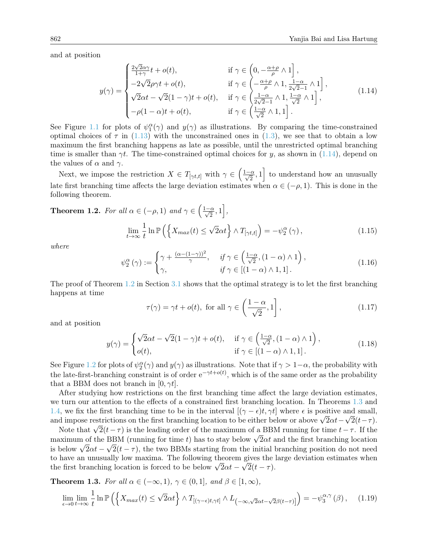and at position

<span id="page-3-0"></span>
$$
y(\gamma) = \begin{cases} \frac{2\sqrt{2}\alpha\gamma}{1+\gamma}t + o(t), & \text{if } \gamma \in \left(0, -\frac{\alpha+\rho}{\rho} \wedge 1\right],\\ -2\sqrt{2}\rho\gamma t + o(t), & \text{if } \gamma \in \left(-\frac{\alpha+\rho}{\rho} \wedge 1, \frac{1-\alpha}{2\sqrt{2}-1} \wedge 1\right],\\ \sqrt{2}\alpha t - \sqrt{2}(1-\gamma)t + o(t), & \text{if } \gamma \in \left(\frac{1-\alpha}{2\sqrt{2}-1} \wedge 1, \frac{1-\alpha}{\sqrt{2}} \wedge 1\right],\\ -\rho(1-\alpha)t + o(t), & \text{if } \gamma \in \left(\frac{1-\alpha}{\sqrt{2}} \wedge 1, 1\right]. \end{cases}
$$
(1.14)

See Figure [1.1](#page-4-0) for plots of  $\psi_1^{\alpha}(\gamma)$  and  $y(\gamma)$  as illustrations. By comparing the time-constrained optimal choices of  $\tau$  in [\(1.13\)](#page-2-2) with the unconstrained ones in [\(1.3\)](#page-1-1), we see that to obtain a low maximum the first branching happens as late as possible, until the unrestricted optimal branching time is smaller than  $\gamma t$ . The time-constrained optimal choices for y, as shown in [\(1.14\)](#page-3-0), depend on the values of  $\alpha$  and  $\gamma$ .

Next, we impose the restriction  $X \in T_{[\gamma t,t]}$  with  $\gamma \in \left(\frac{1-\alpha}{\sqrt{2}},1\right]$  to understand how an unusually late first branching time affects the large deviation estimates when  $\alpha \in (-\rho, 1)$ . This is done in the following theorem.

<span id="page-3-1"></span>**Theorem 1.2.** For all 
$$
\alpha \in (-\rho, 1)
$$
 and  $\gamma \in \left(\frac{1-\alpha}{\sqrt{2}}, 1\right]$ ,  
\n
$$
\lim_{t \to \infty} \frac{1}{t} \ln \mathbb{P}\left(\left\{X_{max}(t) \le \sqrt{2}\alpha t\right\} \wedge T_{[\gamma t, t]}\right) = -\psi_2^{\alpha}(\gamma),
$$
\n(1.15)

where

<span id="page-3-3"></span>
$$
\psi_2^{\alpha}(\gamma) := \begin{cases} \gamma + \frac{(\alpha - (1 - \gamma))^2}{\gamma}, & \text{if } \gamma \in \left(\frac{1 - \alpha}{\sqrt{2}}, (1 - \alpha) \wedge 1\right), \\ \gamma, & \text{if } \gamma \in \left[(1 - \alpha) \wedge 1, 1\right]. \end{cases}
$$
\n(1.16)

The proof of Theorem [1.2](#page-3-1) in Section [3.1](#page-13-0) shows that the optimal strategy is to let the first branching happens at time

$$
\tau(\gamma) = \gamma t + o(t), \text{ for all } \gamma \in \left(\frac{1-\alpha}{\sqrt{2}}, 1\right],\tag{1.17}
$$

and at position

<span id="page-3-4"></span>
$$
y(\gamma) = \begin{cases} \sqrt{2}\alpha t - \sqrt{2}(1-\gamma)t + o(t), & \text{if } \gamma \in \left(\frac{1-\alpha}{\sqrt{2}}, (1-\alpha)\wedge 1\right), \\ o(t), & \text{if } \gamma \in [(1-\alpha)\wedge 1, 1]. \end{cases}
$$
(1.18)

See Figure [1.2](#page-5-0) for plots of  $\psi_2^{\alpha}(\gamma)$  and  $y(\gamma)$  as illustrations. Note that if  $\gamma > 1-\alpha$ , the probability with the late-first-branching constraint is of order  $e^{-\gamma t + o(t)}$ , which is of the same order as the probability that a BBM does not branch in [0,  $\gamma t$ ].

After studying how restrictions on the first branching time affect the large deviation estimates, we turn our attention to the effects of a constrained first branching location. In Theorems [1.3](#page-3-2) and [1.4,](#page-5-1) we fix the first branching time to be in the interval  $[(\gamma - \epsilon)t, \gamma t]$  where  $\epsilon$  is positive and small, 1.4, we fix the first branching time to be in the interval  $[(\gamma - \epsilon)t, \gamma t]$  where  $\epsilon$  is positive and small, and impose restrictions on the first branching location to be either below or above  $\sqrt{2}\alpha t - \sqrt{2}(t-\tau)$ .

Note that  $\sqrt{2}(t-\tau)$  is the leading order of the maximum of a BBM running for time  $t-\tau$ . If the Note that  $\sqrt{2}(t-\tau)$  is the reading order of the maximum of a BBM funning for time  $t-\tau$ . If the maximum of the BBM (running for time t) has to stay below  $\sqrt{2}\alpha t$  and the first branching location maximum of the BBM (running for time t) has to stay below  $\sqrt{2\alpha t}$  and the first branching location<br>is below  $\sqrt{2\alpha t} - \sqrt{2}(t - \tau)$ , the two BBMs starting from the initial branching position do not need to have an unusually low maxima. The following theorem gives the large deviation estimates when to nave an unusually low maxima. The following theorem gives the the first branching location is forced to be below  $\sqrt{2\alpha}t - \sqrt{2}(t-\tau)$ .

<span id="page-3-2"></span>**Theorem 1.3.** For all  $\alpha \in (-\infty, 1)$ ,  $\gamma \in (0, 1]$ , and  $\beta \in [1, \infty)$ ,

$$
\lim_{\epsilon \to 0} \lim_{t \to \infty} \frac{1}{t} \ln \mathbb{P}\left(\left\{X_{max}(t) \le \sqrt{2}\alpha t\right\} \wedge T_{\left[(\gamma - \epsilon)t, \gamma t\right]} \wedge L_{\left(-\infty, \sqrt{2}\alpha t - \sqrt{2}\beta(t-\tau)\right]}\right) = -\psi_3^{\alpha, \gamma}\left(\beta\right),\tag{1.19}
$$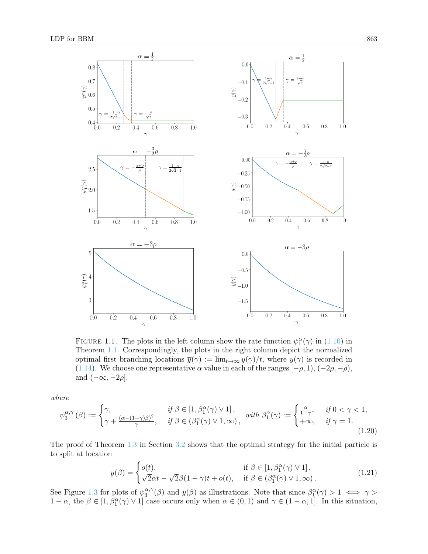<span id="page-4-0"></span>

FIGURE 1.1. The plots in the left column show the rate function  $\psi_1^{\alpha}(\gamma)$  in [\(1.10\)](#page-2-3) in Theorem [1.1.](#page-2-1) Correspondingly, the plots in the right column depict the normalized optimal first branching locations  $\overline{y}(\gamma) := \lim_{t\to\infty} y(\gamma)/t$ , where  $y(\gamma)$  is recorded in [\(1.14\)](#page-3-0). We choose one representative  $\alpha$  value in each of the ranges  $[-\rho, 1), (-2\rho, -\rho)$ , and  $(-\infty, -2\rho]$ .

where

<span id="page-4-1"></span>
$$
\psi_3^{\alpha,\gamma}(\beta) := \begin{cases} \gamma, & \text{if } \beta \in [1, \beta_1^{\alpha}(\gamma) \vee 1], \\ \gamma + \frac{(\alpha - (1 - \gamma)\beta)^2}{\gamma}, & \text{if } \beta \in (\beta_1^{\alpha}(\gamma) \vee 1, \infty), \end{cases} \text{ with } \beta_1^{\alpha}(\gamma) := \begin{cases} \frac{\alpha}{1 - \gamma}, & \text{if } 0 < \gamma < 1, \\ +\infty, & \text{if } \gamma = 1. \end{cases}
$$
\n(1.20)

The proof of Theorem [1.3](#page-3-2) in Section [3.2](#page-18-0) shows that the optimal strategy for the initial particle is to split at location

<span id="page-4-2"></span>
$$
y(\beta) = \begin{cases} o(t), & \text{if } \beta \in [1, \beta_1^{\alpha}(\gamma) \vee 1], \\ \sqrt{2}\alpha t - \sqrt{2}\beta(1-\gamma)t + o(t), & \text{if } \beta \in (\beta_1^{\alpha}(\gamma) \vee 1, \infty). \end{cases}
$$
(1.21)

See Figure [1.3](#page-6-0) for plots of  $\psi_3^{\alpha,\gamma}$  $a_3^{\alpha,\gamma}(\beta)$  and  $y(\beta)$  as illustrations. Note that since  $\beta_1^{\alpha}(\gamma) > 1 \iff \gamma > 1$  $1 - \alpha$ , the  $\beta \in [1, \beta_1^{\alpha}(\gamma) \vee 1]$  case occurs only when  $\alpha \in (0, 1)$  and  $\gamma \in (1 - \alpha, 1]$ . In this situation,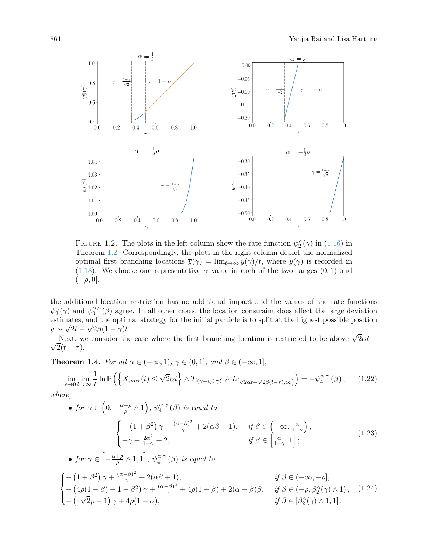<span id="page-5-0"></span>

FIGURE 1.2. The plots in the left column show the rate function  $\psi_2^{\alpha}(\gamma)$  in [\(1.16\)](#page-3-3) in Theorem [1.2.](#page-3-1) Correspondingly, the plots in the right column depict the normalized optimal first branching locations  $\overline{y}(\gamma) = \lim_{t\to\infty} y(\gamma)/t$ , where  $y(\gamma)$  is recorded in [\(1.18\)](#page-3-4). We choose one representative  $\alpha$  value in each of the two ranges (0,1) and  $(-\rho, 0].$ 

the additional location restriction has no additional impact and the values of the rate functions  $\psi_2^{\alpha}(\gamma)$  and  $\psi_3^{\alpha,\gamma}$  $_{3}^{\alpha,\gamma}(\beta)$  agree. In all other cases, the location constraint does affect the large deviation estimates, and the optimal strategy for the initial particle is to split at the highest possible position  $y \sim \sqrt{2t} - \sqrt{2\beta(1-\gamma)t}$ .

Next, we consider the case where the first branching location is restricted to be above <sup>√</sup> 2αt − √  $2(t-\tau).$ 

<span id="page-5-1"></span>**Theorem 1.4.** For all  $\alpha \in (-\infty, 1)$ ,  $\gamma \in (0, 1]$ , and  $\beta \in (-\infty, 1]$ ,

$$
\lim_{\epsilon \to 0} \lim_{t \to \infty} \frac{1}{t} \ln \mathbb{P}\left(\left\{X_{max}(t) \le \sqrt{2}\alpha t\right\} \wedge T_{\left[(\gamma - \epsilon)t, \gamma t\right]} \wedge L_{\left[\sqrt{2}\alpha t - \sqrt{2}\beta(t-\tau), \infty\right)}\right) = -\psi_4^{\alpha, \gamma}\left(\beta\right),\tag{1.22}
$$

where,

• for 
$$
\gamma \in \left(0, -\frac{\alpha+\rho}{\rho} \wedge 1\right)
$$
,  $\psi_4^{\alpha, \gamma}(\beta)$  is equal to  
\n
$$
\begin{cases}\n-(1+\beta^2)\gamma + \frac{(\alpha-\beta)^2}{\gamma} + 2(\alpha\beta+1), & \text{if } \beta \in \left(-\infty, \frac{\alpha}{1+\gamma}\right), \\
-\gamma + \frac{2\alpha^2}{1+\gamma} + 2, & \text{if } \beta \in \left[\frac{\alpha}{1+\gamma}, 1\right];\n\end{cases}
$$
\n(1.23)

<span id="page-5-3"></span><span id="page-5-2"></span>• for 
$$
\gamma \in \left[-\frac{\alpha+\rho}{\rho} \wedge 1, 1\right]
$$
,  $\psi_4^{\alpha, \gamma}(\beta)$  is equal to  
\n
$$
\begin{cases}\n-(1+\beta^2)\gamma + \frac{(\alpha-\beta)^2}{\gamma} + 2(\alpha\beta+1), & \text{if } \beta \in (-\infty, -\rho], \\
-(4\rho(1-\beta) - 1 - \beta^2)\gamma + \frac{(\alpha-\beta)^2}{\gamma} + 4\rho(1-\beta) + 2(\alpha-\beta)\beta, & \text{if } \beta \in (-\rho, \beta_2^{\alpha}(\gamma) \wedge 1), \\
-(4\sqrt{2}\rho - 1)\gamma + 4\rho(1-\alpha), & \text{if } \beta \in [\beta_2^{\alpha}(\gamma) \wedge 1, 1],\n\end{cases}
$$
\n(1.24)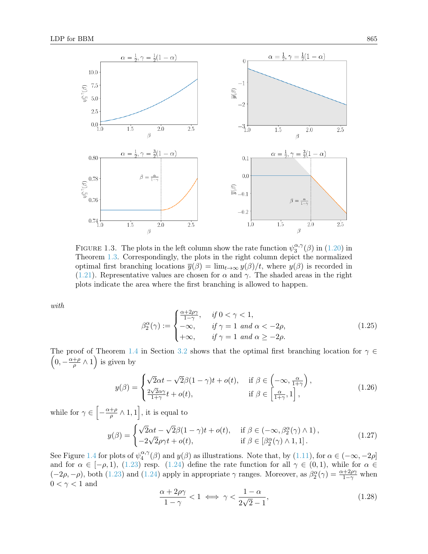<span id="page-6-0"></span>

FIGURE 1.3. The plots in the left column show the rate function  $\psi_3^{\alpha,\gamma}$  $_{3}^{\alpha,\gamma}(\beta)$  in  $(1.20)$  in Theorem [1.3.](#page-3-2) Correspondingly, the plots in the right column depict the normalized optimal first branching locations  $\overline{y}(\beta) = \lim_{t\to\infty} y(\beta)/t$ , where  $y(\beta)$  is recorded in [\(1.21\)](#page-4-2). Representative values are chosen for  $\alpha$  and  $\gamma$ . The shaded areas in the right plots indicate the area where the first branching is allowed to happen.

with

$$
\beta_2^{\alpha}(\gamma) := \begin{cases} \frac{\alpha + 2\rho\gamma}{1 - \gamma}, & \text{if } 0 < \gamma < 1, \\ -\infty, & \text{if } \gamma = 1 \text{ and } \alpha < -2\rho, \\ +\infty, & \text{if } \gamma = 1 \text{ and } \alpha \ge -2\rho. \end{cases}
$$
(1.25)

The proof of Theorem [1.4](#page-5-1) in Section [3.2](#page-18-0) shows that the optimal first branching location for  $\gamma \in$  $\left(0, -\frac{\alpha+\rho}{\alpha}\right)$  $\frac{+\rho}{\rho} \wedge 1$  is given by

<span id="page-6-1"></span>
$$
y(\beta) = \begin{cases} \sqrt{2}\alpha t - \sqrt{2}\beta(1-\gamma)t + o(t), & \text{if } \beta \in \left(-\infty, \frac{\alpha}{1+\gamma}\right), \\ \frac{2\sqrt{2}\alpha\gamma}{1+\gamma}t + o(t), & \text{if } \beta \in \left[\frac{\alpha}{1+\gamma}, 1\right], \end{cases}
$$
(1.26)

while for  $\gamma \in \left[-\frac{\alpha+\rho}{\alpha}\right]$  $\frac{+\rho}{\rho} \wedge 1, 1$ , it is equal to √

<span id="page-6-2"></span>
$$
y(\beta) = \begin{cases} \sqrt{2}\alpha t - \sqrt{2}\beta(1-\gamma)t + o(t), & \text{if } \beta \in (-\infty, \beta_2^{\alpha}(\gamma) \wedge 1), \\ -2\sqrt{2}\rho\gamma t + o(t), & \text{if } \beta \in [\beta_2^{\alpha}(\gamma) \wedge 1, 1]. \end{cases}
$$
(1.27)

See Figure [1.4](#page-7-0) for plots of  $\psi_4^{\alpha,\gamma}$  $\binom{\alpha,\gamma}{4}$  and  $y(\beta)$  as illustrations. Note that, by  $(1.11)$ , for  $\alpha \in (-\infty, -2\rho]$ and for  $\alpha \in [-\rho, 1)$ ,  $(1.23)$  resp.  $(1.24)$  define the rate function for all  $\gamma \in (0, 1)$ , while for  $\alpha \in$  $(-2\rho, -\rho)$ , both [\(1.23\)](#page-5-2) and [\(1.24\)](#page-5-3) apply in appropriate  $\gamma$  ranges. Moreover, as  $\beta_2^{\alpha}(\gamma) = \frac{\alpha+2\rho\gamma}{1-\gamma}$  when  $0 < \gamma < 1$  and

$$
\frac{\alpha + 2\rho\gamma}{1 - \gamma} < 1 \iff \gamma < \frac{1 - \alpha}{2\sqrt{2} - 1},\tag{1.28}
$$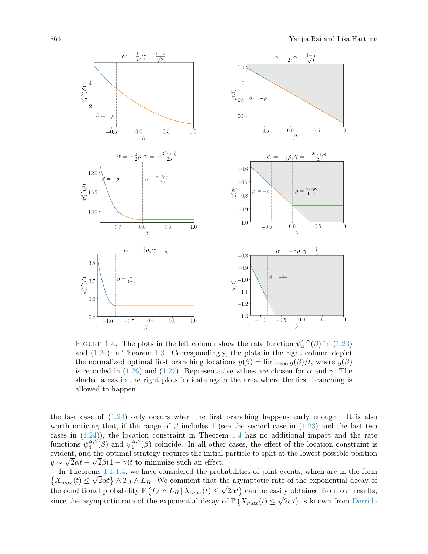<span id="page-7-0"></span>

FIGURE 1.4. The plots in the left column show the rate function  $\psi_4^{\alpha,\gamma}$  $_4^{\alpha,\gamma}(\beta)$  in  $(1.23)$ and [\(1.24\)](#page-5-3) in Theorem [1.3.](#page-3-2) Correspondingly, the plots in the right column depict the normalized optimal first branching locations  $\overline{y}(\beta) = \lim_{t\to\infty} y(\beta)/t$ , where  $y(\beta)$ is recorded in [\(1.26\)](#page-6-1) and [\(1.27\)](#page-6-2). Representative values are chosen for  $\alpha$  and  $\gamma$ . The shaded areas in the right plots indicate again the area where the first branching is allowed to happen.

the last case of [\(1.24\)](#page-5-3) only occurs when the first branching happens early enough. It is also worth noticing that, if the range of  $\beta$  includes 1 (see the second case in [\(1.23\)](#page-5-2) and the last two cases in [\(1.24\)](#page-5-3)), the location constraint in Theorem [1.4](#page-5-1) has no additional impact and the rate functions  $\psi_4^{\alpha,\gamma}$  $_{4}^{\alpha,\gamma}(\beta)$  and  $\psi_{1}^{\alpha,\gamma}$  $\binom{\alpha,\gamma}{1}$  coincide. In all other cases, the effect of the location constraint is evident, and the optimal strategy requires the initial particle to split at the lowest possible position  $y \sim \sqrt{2\alpha t} - \sqrt{2\beta(1-\gamma)t}$  to minimize such an effect.

 $\{X_{max}(t) \leq \sqrt{2\alpha t}\}\wedge T_A \wedge L_B.$  We comment that the asymptotic rate of the exponential decay of In Theorems  $1.1-1.4$  $1.1-1.4$ , we have considered the probabilities of joint events, which are in the form the conditional probability  $\mathbb{P}(T_A \wedge L_B | X_{max}(t) \leq \sqrt{2\alpha t})$  can be easily obtained from our results, since the asymptotic rate of the exponential decay of  $\mathbb{P}(X_{max}(t) \leq \sqrt{2\alpha}t)$  is known from [Derrida](#page-21-5)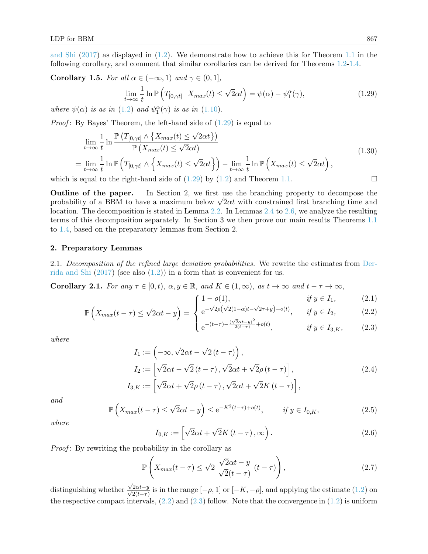[and Shi](#page-21-5) [\(2017\)](#page-21-5) as displayed in  $(1.2)$ . We demonstrate how to achieve this for Theorem [1.1](#page-2-1) in the following corollary, and comment that similar corollaries can be derived for Theorems [1.2-](#page-3-1)[1.4.](#page-5-1)

Corollary 1.5. For all  $\alpha \in (-\infty, 1)$  and  $\gamma \in (0, 1]$ ,

<span id="page-8-0"></span>
$$
\lim_{t \to \infty} \frac{1}{t} \ln \mathbb{P}\left(T_{[0,\gamma t]} \mid X_{max}(t) \le \sqrt{2}\alpha t\right) = \psi(\alpha) - \psi_1^{\alpha}(\gamma),\tag{1.29}
$$

where  $\psi(\alpha)$  is as in [\(1.2\)](#page-1-0) and  $\psi_1^{\alpha}(\gamma)$  is as in [\(1.10\)](#page-2-3).

*Proof*: By Bayes' Theorem, the left-hand side of  $(1.29)$  is equal to √

$$
\lim_{t \to \infty} \frac{1}{t} \ln \frac{\mathbb{P}\left(T_{[0,\gamma t]} \wedge \{X_{max}(t) \le \sqrt{2}\alpha t\}\right)}{\mathbb{P}\left(X_{max}(t) \le \sqrt{2}\alpha t\right)}
$$
\n
$$
= \lim_{t \to \infty} \frac{1}{t} \ln \mathbb{P}\left(T_{[0,\gamma t]} \wedge \{X_{max}(t) \le \sqrt{2}\alpha t\}\right) - \lim_{t \to \infty} \frac{1}{t} \ln \mathbb{P}\left(X_{max}(t) \le \sqrt{2}\alpha t\right),
$$
\n(1.30)

which is equal to the right-hand side of  $(1.29)$  by  $(1.2)$  and Theorem [1.1.](#page-2-1)

Outline of the paper. In Section 2, we first use the branching property to decompose the **Outline of the paper.** In section 2, we first use the branching property to decompose the probability of a BBM to have a maximum below  $\sqrt{2}\alpha t$  with constrained first branching time and location. The decomposition is stated in Lemma [2.2.](#page-9-0) In Lemmas [2.4](#page-11-0) to [2.6,](#page-12-0) we analyze the resulting terms of this decomposition separately. In Section 3 we then prove our main results Theorems [1.1](#page-2-1) to [1.4,](#page-5-1) based on the preparatory lemmas from Section 2.

#### 2. Preparatory Lemmas

2.1. Decomposition of the refined large deviation probabilities. We rewrite the estimates from [Der](#page-21-5)[rida and Shi](#page-21-5)  $(2017)$  (see also  $(1.2)$ ) in a form that is convenient for us.

<span id="page-8-1"></span>Corollary 2.1. For any  $\tau \in [0, t)$ ,  $\alpha, y \in \mathbb{R}$ , and  $K \in (1, \infty)$ , as  $t \to \infty$  and  $t - \tau \to \infty$ ,

$$
\begin{cases} 1 - o(1), & \text{if } y \in I_1, \\ 0, & \text{if } j \in I_2, \end{cases} \tag{2.1}
$$

$$
\mathbb{P}\left(X_{max}(t-\tau) \le \sqrt{2}\alpha t - y\right) = \begin{cases} e^{-\sqrt{2}\rho\left(\sqrt{2}(1-\alpha)t - \sqrt{2}\tau + y\right) + o(t)}, & \text{if } y \in I_2, \\ e^{-(t-\tau) - \frac{(\sqrt{2}\alpha t - y)^2}{2(t-\tau)} + o(t)}, & \text{if } y \in I_{3,K}, \end{cases}
$$
(2.3)

where

$$
I_1 := \left( -\infty, \sqrt{2}\alpha t - \sqrt{2}(t-\tau) \right),
$$
  
\n
$$
I_2 := \left[ \sqrt{2}\alpha t - \sqrt{2}(t-\tau), \sqrt{2}\alpha t + \sqrt{2}\rho(t-\tau) \right],
$$
  
\n
$$
I_{3,K} := \left[ \sqrt{2}\alpha t + \sqrt{2}\rho(t-\tau), \sqrt{2}\alpha t + \sqrt{2}K(t-\tau) \right],
$$
\n(2.4)

and

<span id="page-8-3"></span>
$$
\mathbb{P}\left(X_{max}(t-\tau) \le \sqrt{2}\alpha t - y\right) \le e^{-K^2(t-\tau)+o(t)}, \qquad \text{if } y \in I_{0,K},\tag{2.5}
$$

where

$$
I_{0,K} := \left[\sqrt{2}\alpha t + \sqrt{2}K\left(t - \tau\right), \infty\right). \tag{2.6}
$$

Proof: By rewriting the probability in the corollary as

<span id="page-8-2"></span>
$$
\mathbb{P}\left(X_{max}(t-\tau) \le \sqrt{2} \frac{\sqrt{2}\alpha t - y}{\sqrt{2}(t-\tau)} (t-\tau)\right),\tag{2.7}
$$

distinguishing whether  $\frac{\sqrt{2}\alpha t-y}{\sqrt{2}(t-\tau)}$  is in the range  $[-\rho, 1]$  or  $[-K, -\rho]$ , and applying the estimate [\(1.2\)](#page-1-0) on the respective compact intervals,  $(2.2)$  and  $(2.3)$  follow. Note that the convergence in  $(1.2)$  is uniform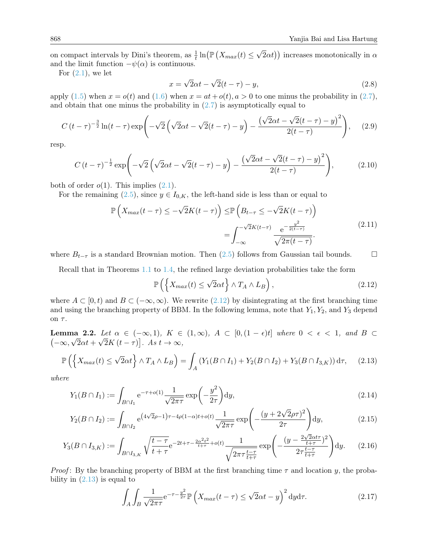on compact intervals by Dini's theorem, as  $\frac{1}{t} \ln \left( \mathbb{P} \left( X_{max}(t) \leq \right) \right)$ √  $(2\alpha t)$  increases monotonically in  $\alpha$ and the limit function  $-\psi(\alpha)$  is continuous.

For  $(2.1)$ , we let

$$
x = \sqrt{2}\alpha t - \sqrt{2}(t - \tau) - y,\tag{2.8}
$$

apply [\(1.5\)](#page-2-5) when  $x = o(t)$  and [\(1.6\)](#page-2-6) when  $x = at + o(t)$ ,  $a > 0$  to one minus the probability in [\(2.7\)](#page-8-2), and obtain that one minus the probability in [\(2.7\)](#page-8-2) is asymptotically equal to

$$
C\left(t-\tau\right)^{-\frac{3}{2}}\ln\left(t-\tau\right)\exp\left(-\sqrt{2}\left(\sqrt{2}\alpha t-\sqrt{2}(t-\tau)-y\right)-\frac{\left(\sqrt{2}\alpha t-\sqrt{2}(t-\tau)-y\right)^{2}}{2(t-\tau)}\right),\quad(2.9)
$$

resp.

$$
C\left(t-\tau\right)^{-\frac{1}{2}}\exp\left(-\sqrt{2}\left(\sqrt{2}\alpha t-\sqrt{2}(t-\tau)-y\right)-\frac{\left(\sqrt{2}\alpha t-\sqrt{2}(t-\tau)-y\right)^2}{2(t-\tau)}\right),\tag{2.10}
$$

both of order  $o(1)$ . This implies  $(2.1)$ .

For the remaining [\(2.5\)](#page-8-3), since  $y \in I_{0,K}$ , the left-hand side is less than or equal to

$$
\mathbb{P}\left(X_{max}(t-\tau) \leq -\sqrt{2}K(t-\tau)\right) \leq \mathbb{P}\left(B_{t-\tau} \leq -\sqrt{2}K(t-\tau)\right)
$$
\n
$$
= \int_{-\infty}^{-\sqrt{2}K(t-\tau)} \frac{e^{-\frac{y^2}{2(t-\tau)}}}{\sqrt{2\pi(t-\tau)}}.
$$
\n(2.11)

where  $B_{t-\tau}$  is a standard Brownian motion. Then [\(2.5\)](#page-8-3) follows from Gaussian tail bounds.  $\square$ 

Recall that in Theorems [1.1](#page-2-1) to [1.4,](#page-5-1) the refined large deviation probabilities take the form

<span id="page-9-4"></span><span id="page-9-1"></span>
$$
\mathbb{P}\left(\left\{X_{max}(t) \le \sqrt{2}\alpha t\right\} \wedge T_A \wedge L_B\right),\tag{2.12}
$$

where  $A \subset [0, t)$  and  $B \subset (-\infty, \infty)$ . We rewrite [\(2.12\)](#page-9-1) by disintegrating at the first branching time and using the branching property of BBM. In the following lemma, note that  $Y_1, Y_2$ , and  $Y_3$  depend on  $\tau$ .

<span id="page-9-0"></span>**Lemma 2.2.** Let  $\alpha \in (-\infty, 1)$ ,  $K \in (1, \infty)$ ,  $A \subset [0, (1 - \epsilon)t]$  where  $0 < \epsilon < 1$ , and  $B \subset$  $(-\infty, \sqrt{2}\alpha t + \sqrt{2}K(t-\tau)].$  As  $t \to \infty$ ,

<span id="page-9-2"></span>
$$
\mathbb{P}\left(\left\{X_{max}(t)\leq \sqrt{2}\alpha t\right\}\wedge T_A \wedge L_B\right) = \int_A \left(Y_1(B\cap I_1) + Y_2(B\cap I_2) + Y_3(B\cap I_{3,K})\right) d\tau, \tag{2.13}
$$

where

$$
Y_1(B \cap I_1) := \int_{B \cap I_1} e^{-\tau + o(1)} \frac{1}{\sqrt{2\pi\tau}} \exp\left(-\frac{y^2}{2\tau}\right) dy,
$$
\n(2.14)

$$
Y_2(B \cap I_2) := \int_{B \cap I_2} e^{(4\sqrt{2}\rho - 1)\tau - 4\rho(1 - \alpha)t + o(t)} \frac{1}{\sqrt{2\pi\tau}} \exp\left(-\frac{(y + 2\sqrt{2}\rho\tau)^2}{2\tau}\right) dy,
$$
(2.15)

$$
Y_3(B \cap I_{3,K}) := \int_{B \cap I_{3,K}} \sqrt{\frac{t-\tau}{t+\tau}} e^{-2t+\tau-\frac{2\alpha^2 t^2}{t+\tau} + o(t)} \frac{1}{\sqrt{2\pi \tau \frac{t-\tau}{t+\tau}}} \exp\left(-\frac{(y-\frac{2\sqrt{2}\alpha t\tau}{t+\tau})^2}{2\tau \frac{t-\tau}{t+\tau}}\right) dy.
$$
 (2.16)

*Proof*: By the branching property of BBM at the first branching time  $\tau$  and location y, the probability in  $(2.13)$  is equal to

<span id="page-9-3"></span>
$$
\int_{A} \int_{B} \frac{1}{\sqrt{2\pi\tau}} e^{-\tau - \frac{y^2}{2\tau}} \mathbb{P}\left(X_{max}(t-\tau) \le \sqrt{2\alpha}t - y\right)^2 dy d\tau.
$$
\n(2.17)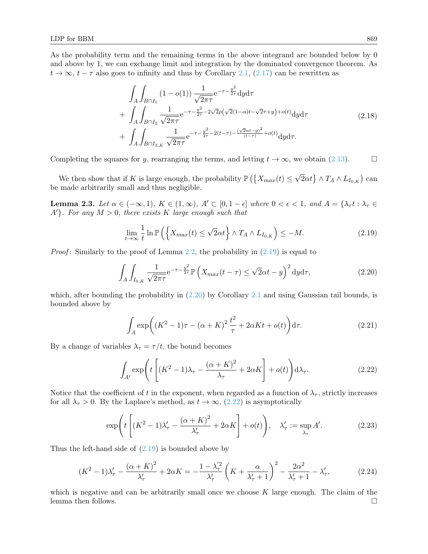As the probability term and the remaining terms in the above integrand are bounded below by 0 and above by 1, we can exchange limit and integration by the dominated convergence theorem. As  $t \to \infty$ ,  $t - \tau$  also goes to infinity and thus by Corollary [2.1,](#page-8-1) [\(2.17\)](#page-9-3) can be rewritten as

$$
\int_{A} \int_{B \cap I_{1}} (1 - o(1)) \frac{1}{\sqrt{2\pi\tau}} e^{-\tau - \frac{y^{2}}{2\tau}} dy d\tau \n+ \int_{A} \int_{B \cap I_{2}} \frac{1}{\sqrt{2\pi\tau}} e^{-\tau - \frac{y^{2}}{2\tau} - 2\sqrt{2}\rho(\sqrt{2}(1 - \alpha)t - \sqrt{2}\tau + y) + o(t)} dy d\tau \n+ \int_{A} \int_{B \cap I_{3,K}} \frac{1}{\sqrt{2\pi\tau}} e^{-\tau - \frac{y^{2}}{2\tau} - 2(t - \tau) - \frac{(\sqrt{2}\alpha t - y)^{2}}{(t - \tau)} + o(t)} dy d\tau.
$$
\n(2.18)

Completing the squares for y, rearranging the terms, and letting  $t \to \infty$ , we obtain [\(2.13\)](#page-9-2).

We then show that if K is large enough, the probability  $\mathbb{P}\left(\left\{X_{max}(t)\leq x\right\}\right)$ √  $\{2\alpha t\} \wedge T_A \wedge L_{I_{0,K}} \big)$  can be made arbitrarily small and thus negligible.

<span id="page-10-3"></span>**Lemma 2.3.** Let  $\alpha \in (-\infty, 1)$ ,  $K \in (1, \infty)$ ,  $A' \subset [0, 1-\epsilon]$  where  $0 < \epsilon < 1$ , and  $A = \{\lambda_{\tau} t : \lambda_{\tau} \in$  $A'$ . For any  $M > 0$ , there exists K large enough such that

<span id="page-10-0"></span>
$$
\lim_{t \to \infty} \frac{1}{t} \ln \mathbb{P}\left(\left\{X_{max}(t) \le \sqrt{2}\alpha t\right\} \wedge T_A \wedge L_{I_{0,K}}\right) \le -M. \tag{2.19}
$$

*Proof*: Similarly to the proof of Lemma [2.2,](#page-9-0) the probability in  $(2.19)$  is equal to

<span id="page-10-1"></span>
$$
\int_{A} \int_{I_{0,K}} \frac{1}{\sqrt{2\pi\tau}} e^{-\tau - \frac{y^2}{2\tau}} \mathbb{P}\left(X_{max}(t-\tau) \le \sqrt{2\alpha}t - y\right)^2 dy d\tau, \tag{2.20}
$$

which, after bounding the probability in  $(2.20)$  by Corollary [2.1](#page-8-1) and using Gaussian tail bounds, is bounded above by

$$
\int_{A} \exp\left((K^2 - 1)\tau - (\alpha + K)^2 \frac{t^2}{\tau} + 2\alpha K t + o(t)\right) d\tau.
$$
\n(2.21)

By a change of variables  $\lambda_{\tau} = \tau/t$ , the bound becomes

<span id="page-10-2"></span>
$$
\int_{A'} \exp\left(t\left[ (K^2 - 1)\lambda_\tau - \frac{(\alpha + K)^2}{\lambda_\tau} + 2\alpha K \right] + o(t) \right) d\lambda_\tau.
$$
\n(2.22)

Notice that the coefficient of t in the exponent, when regarded as a function of  $\lambda_{\tau}$ , strictly increases for all  $\lambda_{\tau} > 0$ . By the Laplace's method, as  $t \to \infty$ , [\(2.22\)](#page-10-2) is asymptotically

$$
\exp\left(t\left[\left(K^2-1\right)\lambda_{\tau}^{\prime}-\frac{\left(\alpha+K\right)^2}{\lambda_{\tau}^{\prime}}+2\alpha K\right]+o(t)\right), \quad \lambda_{\tau}^{\prime}:=\sup_{\lambda_{\tau}}A^{\prime}.
$$
 (2.23)

Thus the left-hand side of  $(2.19)$  is bounded above by

$$
(K^2 - 1)\lambda'_{\tau} - \frac{(\alpha + K)^2}{\lambda'_{\tau}} + 2\alpha K = -\frac{1 - \lambda'^2_{\tau}}{\lambda'_{\tau}} \left(K + \frac{\alpha}{\lambda'_{\tau} + 1}\right)^2 - \frac{2\alpha^2}{\lambda'_{\tau} + 1} - \lambda'_{\tau},\tag{2.24}
$$

which is negative and can be arbitrarily small once we choose  $K$  large enough. The claim of the lemma then follows.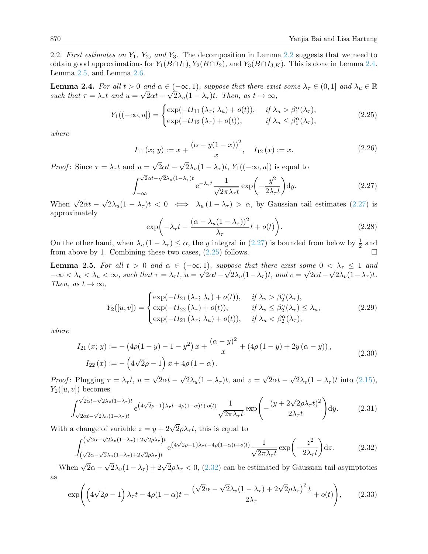[2.2](#page-9-0). First estimates on  $Y_1$ ,  $Y_2$ , and  $Y_3$ . The decomposition in Lemma 2.2 suggests that we need to obtain good approximations for  $Y_1(B \cap I_1)$ ,  $Y_2(B \cap I_2)$ , and  $Y_3(B \cap I_{3,K})$ . This is done in Lemma [2.4.](#page-11-0) Lemma [2.5,](#page-11-1) and Lemma [2.6.](#page-12-0)

<span id="page-11-0"></span>**Lemma 2.4.** For all  $t > 0$  and  $\alpha \in (-\infty, 1)$ , suppose that there exist some  $\lambda_{\tau} \in (0, 1]$  and  $\lambda_{u} \in \mathbb{R}$ such that  $\tau = \lambda_{\tau} t$  and  $u = \sqrt{2\alpha t} - \sqrt{2\lambda_{u}}(1 - \lambda_{\tau})t$ . Then, as  $t \to \infty$ ,

<span id="page-11-3"></span>
$$
Y_1((-\infty, u]) = \begin{cases} \exp(-tI_{11}(\lambda_\tau; \lambda_u) + o(t)), & \text{if } \lambda_u > \beta_1^{\alpha}(\lambda_\tau), \\ \exp(-tI_{12}(\lambda_\tau) + o(t)), & \text{if } \lambda_u \le \beta_1^{\alpha}(\lambda_\tau), \end{cases}
$$
(2.25)

where

$$
I_{11}(x; y) := x + \frac{(\alpha - y(1 - x))^2}{x}, \quad I_{12}(x) := x.
$$
\n(2.26)

*Proof*: Since  $\tau = \lambda_{\tau} t$  and  $u =$  $2\alpha t 2\lambda_u(1-\lambda_{\tau})t$ ,  $Y_1((-\infty, u])$  is equal to √

<span id="page-11-2"></span>
$$
\int_{-\infty}^{\sqrt{2}\alpha t - \sqrt{2}\lambda_u (1-\lambda_\tau)t} e^{-\lambda_\tau t} \frac{1}{\sqrt{2\pi\lambda_\tau t}} \exp\left(-\frac{y^2}{2\lambda_\tau t}\right) dy.
$$
 (2.27)

When  $\sqrt{2}\alpha t$  – √  $2\lambda_u(1-\lambda_{\tau})t < 0 \iff \lambda_u(1-\lambda_{\tau}) > \alpha$ , by Gaussian tail estimates [\(2.27\)](#page-11-2) is approximately

$$
\exp\bigg(-\lambda_{\tau}t - \frac{(\alpha - \lambda_{u}(1 - \lambda_{\tau}))^{2}}{\lambda_{\tau}}t + o(t)\bigg). \tag{2.28}
$$

On the other hand, when  $\lambda_u (1 - \lambda_{\tau}) \leq \alpha$ , the y integral in [\(2.27\)](#page-11-2) is bounded from below by  $\frac{1}{2}$  and from above by 1. Combining these two cases,  $(2.25)$  follows.

<span id="page-11-1"></span>**Lemma 2.5.** For all  $t > 0$  and  $\alpha \in (-\infty, 1)$ , suppose that there exist some  $0 < \lambda_{\tau} \leq 1$  and  $-\infty < \lambda_v < \lambda_u < \infty$ , such that  $\tau = \lambda_\tau t$ ,  $u = \sqrt{2\alpha t} - \sqrt{2\lambda_u(1-\lambda_\tau)t}$ , and  $v = \sqrt{2\alpha t} - \sqrt{2\lambda_v(1-\lambda_\tau)t}$ . Then, as  $t \to \infty$ ,

<span id="page-11-5"></span>
$$
Y_2([u, v]) = \begin{cases} \exp(-tI_{21}(\lambda_\tau; \lambda_v) + o(t)), & \text{if } \lambda_v > \beta_2^{\alpha}(\lambda_\tau), \\ \exp(-tI_{22}(\lambda_\tau) + o(t)), & \text{if } \lambda_v \le \beta_2^{\alpha}(\lambda_\tau) \le \lambda_u, \\ \exp(-tI_{21}(\lambda_\tau; \lambda_u) + o(t)), & \text{if } \lambda_u < \beta_2^{\alpha}(\lambda_\tau), \end{cases}
$$
(2.29)

where

$$
I_{21}(x; y) := -\left(4\rho(1-y) - 1 - y^2\right)x + \frac{(\alpha - y)^2}{x} + \left(4\rho(1-y) + 2y(\alpha - y)\right),
$$
  
\n
$$
I_{22}(x) := -\left(4\sqrt{2}\rho - 1\right)x + 4\rho(1 - \alpha).
$$
\n(2.30)

*Proof*: Plugging  $\tau = \lambda_{\tau} t$ ,  $u =$  $2\alpha t 2\lambda_u(1-\lambda_\tau)t$ , and  $v=$  $2\alpha t 2\lambda_v(1-\lambda_\tau)t$  into  $(2.15)$ ,  $Y_2([u, v])$  becomes

$$
\int_{\sqrt{2}\alpha t - \sqrt{2}\lambda_u(1-\lambda_\tau)t}^{\sqrt{2}\alpha t - \sqrt{2}\lambda_u(1-\lambda_\tau)t} e^{(4\sqrt{2}\rho - 1)\lambda_\tau t - 4\rho(1-\alpha)t + o(t)} \frac{1}{\sqrt{2\pi\lambda_\tau t}} \exp\left(-\frac{(y + 2\sqrt{2}\rho\lambda_\tau t)^2}{2\lambda_\tau t}\right) dy.
$$
 (2.31)

With a change of variable  $z = y + 2\sqrt{2}\rho\lambda_{\tau}t$ , this is equal to

<span id="page-11-4"></span>
$$
\int_{(\sqrt{2}\alpha-\sqrt{2}\lambda_u(1-\lambda_{\tau})+2\sqrt{2}\rho\lambda_{\tau})t}^{(\sqrt{2}\alpha-\sqrt{2}\lambda_u(1-\lambda_{\tau})+2\sqrt{2}\rho\lambda_{\tau})t} e^{(4\sqrt{2}\rho-1)\lambda_{\tau}t-4\rho(1-\alpha)t+o(t)} \frac{1}{\sqrt{2\pi\lambda_{\tau}t}} \exp\left(-\frac{z^2}{2\lambda_{\tau}t}\right)dz.
$$
 (2.32)

When  $\sqrt{2}\alpha$  –  $\sqrt{2}\lambda_v(1-\lambda_\tau)+2\sqrt{2}\rho\lambda_\tau < 0$ , [\(2.32\)](#page-11-4) can be estimated by Gaussian tail asymptotics as

$$
\exp\left(\left(4\sqrt{2}\rho-1\right)\lambda_{\tau}t-4\rho(1-\alpha)t-\frac{\left(\sqrt{2}\alpha-\sqrt{2}\lambda_{v}(1-\lambda_{\tau})+2\sqrt{2}\rho\lambda_{\tau}\right)^{2}t}{2\lambda_{\tau}}+o(t)\right),\qquad(2.33)
$$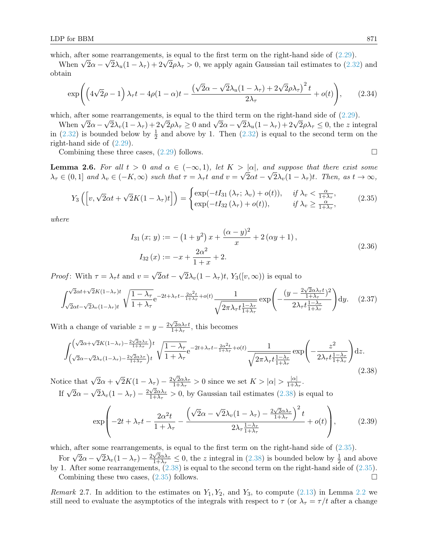which, after some rearrangements, is equal to the first term on the right-hand side of  $(2.29)$ .

ncn, after son<br>When  $\sqrt{2}\alpha$  – e rearrangements, is equal to the first term on the right-hand side or (2.29).<br>  $\sqrt{2}\lambda_u(1-\lambda_\tau) + 2\sqrt{2}\rho\lambda_\tau > 0$ , we apply again Gaussian tail estimates to [\(2.32\)](#page-11-4) and obtain

$$
\exp\left(\left(4\sqrt{2}\rho-1\right)\lambda_{\tau}t-4\rho(1-\alpha)t-\frac{\left(\sqrt{2}\alpha-\sqrt{2}\lambda_{u}(1-\lambda_{\tau})+2\sqrt{2}\rho\lambda_{\tau}\right)^{2}t}{2\lambda_{\tau}}+o(t)\right),\qquad(2.34)
$$

which, after some rearrangements, is equal to the third term on the right-hand side of  $(2.29)$ .

ncn, after son<br>When  $\sqrt{2}\alpha$  – de rearrangements, is equal to the third<br> $\sqrt{2}\lambda_v(1-\lambda_\tau) + 2\sqrt{2}\rho\lambda_\tau \geq 0$  and  $\sqrt{2}\alpha \sqrt{2}\lambda_u(1-\lambda_\tau) + 2\sqrt{2}\rho\lambda_\tau \leq 0$ , the *z* integral in [\(2.32\)](#page-11-4) is bounded below by  $\frac{1}{2}$  and above by 1. Then (2.32) is equal to the second term on the right-hand side of [\(2.29\)](#page-11-5).

Combining these three cases,  $(2.29)$  follows.

<span id="page-12-0"></span>**Lemma 2.6.** For all  $t > 0$  and  $\alpha \in (-\infty, 1)$ , let  $K > |\alpha|$ , and suppose that there exist some  $\lambda_{\tau} \in (0,1]$  and  $\lambda_{v} \in (-K,\infty)$  such that  $\tau = \lambda_{\tau}t$  and  $v = \sqrt{2\alpha t} - \sqrt{2\lambda_{v}}(1-\lambda_{\tau})t$ . Then, as  $t \to \infty$ ,

<span id="page-12-2"></span>
$$
Y_3\left(\left[v,\sqrt{2}\alpha t+\sqrt{2}K(1-\lambda_{\tau})t\right]\right)=\begin{cases} \exp(-tI_{31}(\lambda_{\tau};\,\lambda_v)+o(t)), & \text{if }\lambda_v<\frac{\alpha}{1+\lambda_{\tau}},\\ \exp(-tI_{32}(\lambda_{\tau})+o(t)), & \text{if }\lambda_v\geq\frac{\alpha}{1+\lambda_{\tau}}, \end{cases} (2.35)
$$

where

$$
I_{31}(x; y) := -(1 + y^2) x + \frac{(\alpha - y)^2}{x} + 2(\alpha y + 1),
$$
  
\n
$$
I_{32}(x) := -x + \frac{2\alpha^2}{1 + x} + 2.
$$
\n(2.36)

*Proof*: With  $\tau = \lambda_{\tau} t$  and  $v =$ √  $2\alpha t -$ √  $2\lambda_v(1-\lambda_\tau)t$ ,  $Y_3([v,\infty))$  is equal to

$$
\int_{\sqrt{2}\alpha t - \sqrt{2}\lambda_v(1-\lambda_\tau)t}^{\sqrt{2}\alpha t + \sqrt{2}K(1-\lambda_\tau)t} \sqrt{\frac{1-\lambda_\tau}{1+\lambda_\tau}} e^{-2t + \lambda_\tau t - \frac{2\alpha^2 t}{1+\lambda_\tau} + o(t)} \frac{1}{\sqrt{2\pi\lambda_\tau t \frac{1-\lambda_\tau}{1+\lambda_\tau}}} \exp\left(-\frac{(y - \frac{2\sqrt{2}\alpha\lambda_\tau t}{1+\lambda_\tau})^2}{2\lambda_\tau t \frac{1-\lambda_\tau}{1+\lambda_\tau}}\right) dy. \tag{2.37}
$$

With a change of variable  $z = y - \frac{2\sqrt{2}\alpha\lambda_{\tau}t}{1+\lambda_{\tau}}$  $\frac{\sqrt{2\alpha\lambda_{\tau}t}}{1+\lambda_{\tau}},$  this becomes

<span id="page-12-1"></span>
$$
\int_{\left(\sqrt{2}\alpha-\sqrt{2}\lambda_{v}(1-\lambda_{\tau})-\frac{2\sqrt{2}\alpha\lambda_{\tau}}{1+\lambda_{\tau}}\right)t}^{\left(\sqrt{2}\alpha+\sqrt{2}K(1-\lambda_{\tau})-\frac{2\sqrt{2}\alpha\lambda_{\tau}}{1+\lambda_{\tau}}\right)t} \sqrt{\frac{1-\lambda_{\tau}}{1+\lambda_{\tau}}} e^{-2t+\lambda_{\tau}t-\frac{2\alpha^{2}t}{1+\lambda_{\tau}}} + o(t) \frac{1}{\sqrt{2\pi\lambda_{\tau}t\frac{1-\lambda_{\tau}}{1+\lambda_{\tau}}}} \exp\left(-\frac{z^{2}}{2\lambda_{\tau}t\frac{1-\lambda_{\tau}}{1+\lambda_{\tau}}}\right)dz.
$$
\n(2.38)

Notice that  $\sqrt{2}\alpha +$ √  $\overline{2}K(1-\lambda_{\tau})-\frac{2\sqrt{2}\alpha\lambda_{\tau}}{1+\lambda_{\tau}}$  $\frac{\sqrt{2}\alpha\lambda_{\tau}}{1+\lambda_{\tau}}>0$  since we set  $K>|\alpha|>\frac{|\alpha|}{1+\lambda_{\tau}}$  $\frac{|\alpha|}{1+\lambda_\tau}$ . If  $\sqrt{2}\alpha - \sqrt{2}\lambda_v(1-\lambda_\tau) - \frac{2\sqrt{2}\alpha\lambda_\tau}{1+\lambda_\tau}$ √ √  $\frac{\sqrt{2\alpha\lambda_{\tau}}}{1+\lambda_{\tau}}>0$ , by Gaussian tail estimates  $(2.38)$  is equal to

$$
\exp\left(-2t + \lambda_{\tau}t - \frac{2\alpha^2 t}{1 + \lambda_{\tau}} - \frac{\left(\sqrt{2}\alpha - \sqrt{2}\lambda_v(1 - \lambda_{\tau}) - \frac{2\sqrt{2}\alpha\lambda_{\tau}}{1 + \lambda_{\tau}}\right)^2 t}{2\lambda_{\tau}\frac{1 - \lambda_{\tau}}{1 + \lambda_{\tau}}} + o(t)\right),\tag{2.39}
$$

which, after some rearrangements, is equal to the first term on the right-hand side of  $(2.35)$ . √

For  $\sqrt{2}\alpha$  –  $\overline{2}\lambda_v(1-\lambda_\tau)-\frac{2\sqrt{2}\alpha\lambda_\tau}{1+\lambda_\tau}$  $\frac{\sqrt{2\alpha\lambda_{\tau}}}{1+\lambda_{\tau}} \leq 0$ , the z integral in [\(2.38\)](#page-12-1) is bounded below by  $\frac{1}{2}$  and above by 1. After some rearrangements, [\(2.38\)](#page-12-1) is equal to the second term on the right-hand side of [\(2.35\)](#page-12-2). Combining these two cases,  $(2.35)$  follows.

*Remark* 2.7. In addition to the estimates on  $Y_1, Y_2$ , and  $Y_3$ , to compute [\(2.13\)](#page-9-2) in Lemma [2.2](#page-9-0) we still need to evaluate the asymptotics of the integrals with respect to  $\tau$  (or  $\lambda_{\tau} = \tau/t$  after a change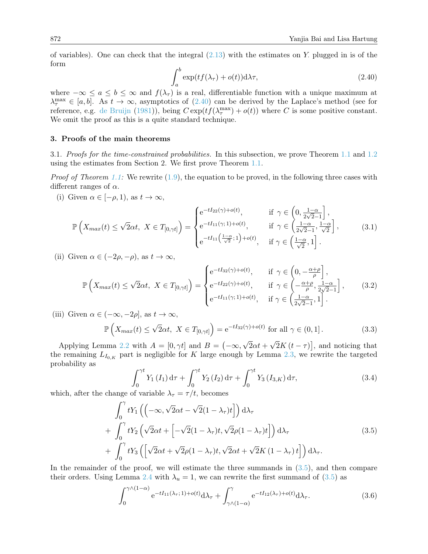of variables). One can check that the integral  $(2.13)$  with the estimates on Y plugged in is of the form

<span id="page-13-1"></span>
$$
\int_{a}^{b} \exp(tf(\lambda_{\tau}) + o(t)) \, d\lambda \tau,\tag{2.40}
$$

where  $-\infty \le a \le b \le \infty$  and  $f(\lambda_{\tau})$  is a real, differentiable function with a unique maximum at  $\lambda_{\tau}^{\max} \in [a, b]$ . As  $t \to \infty$ , asymptotics of  $(2.40)$  can be derived by the Laplace's method (see for reference, e.g. [de Bruijn](#page-21-17) [\(1981\)](#page-21-17)), being  $C \exp(t f(\lambda^{\max}_\tau) + o(t))$  where C is some positive constant. We omit the proof as this is a quite standard technique.

#### 3. Proofs of the main theorems

<span id="page-13-0"></span>3.1. Proofs for the time-constrained probabilities. In this subsection, we prove Theorem [1.1](#page-2-1) and [1.2](#page-3-1) using the estimates from Section 2. We first prove Theorem [1.1.](#page-2-1)

*Proof of Theorem [1.1:](#page-2-1)* We rewrite  $(1.9)$ , the equation to be proved, in the following three cases with different ranges of  $\alpha$ .

(i) Given  $\alpha \in [-\rho, 1)$ , as  $t \to \infty$ ,

<span id="page-13-4"></span>
$$
\mathbb{P}\left(X_{max}(t) \leq \sqrt{2}\alpha t, \ X \in T_{[0,\gamma t]}\right) = \begin{cases} e^{-tI_{22}(\gamma) + o(t)}, & \text{if } \gamma \in \left(0, \frac{1-\alpha}{2\sqrt{2}-1}\right],\\ e^{-tI_{11}(\gamma; 1) + o(t)}, & \text{if } \gamma \in \left(\frac{1-\alpha}{2\sqrt{2}-1}, \frac{1-\alpha}{\sqrt{2}}\right],\\ e^{-tI_{11}\left(\frac{1-\alpha}{\sqrt{2}}; 1\right) + o(t)}, & \text{if } \gamma \in \left(\frac{1-\alpha}{\sqrt{2}}, 1\right].\end{cases}
$$
(3.1)

(ii) Given  $\alpha \in (-2\rho, -\rho)$ , as  $t \to \infty$ ,

<span id="page-13-5"></span>
$$
\mathbb{P}\left(X_{max}(t) \le \sqrt{2}\alpha t, \ X \in T_{[0,\gamma t]}\right) = \begin{cases} e^{-tI_{32}(\gamma) + o(t)}, & \text{if } \gamma \in \left(0, -\frac{\alpha+\rho}{\rho}\right],\\ e^{-tI_{22}(\gamma) + o(t)}, & \text{if } \gamma \in \left(-\frac{\alpha+\rho}{\rho}, \frac{1-\alpha}{2\sqrt{2}-1}\right],\\ e^{-tI_{11}(\gamma; 1) + o(t)}, & \text{if } \gamma \in \left(\frac{1-\alpha}{2\sqrt{2}-1}, 1\right].\end{cases}
$$
(3.2)

(iii) Given  $\alpha \in (-\infty, -2\rho]$ , as  $t \to \infty$ ,

<span id="page-13-6"></span>
$$
\mathbb{P}\left(X_{max}(t) \le \sqrt{2}\alpha t, \ X \in T_{[0,\gamma t]}\right) = e^{-tI_{32}(\gamma) + o(t)} \text{ for all } \gamma \in (0,1].
$$
\n(3.3)

Applying Lemma [2.2](#page-9-0) with  $A = [0, \gamma t]$  and  $B = [-\infty,$  $2\alpha t +$  $\overline{2}K(t-\tau)$ , and noticing that the remaining  $L_{I_{0,K}}$  part is negligible for K large enough by Lemma [2.3,](#page-10-3) we rewrite the targeted probability as

<span id="page-13-7"></span>
$$
\int_0^{\gamma t} Y_1(I_1) d\tau + \int_0^{\gamma t} Y_2(I_2) d\tau + \int_0^{\gamma t} Y_3(I_{3,K}) d\tau,
$$
\n
$$
\text{of variable } \lambda = \tau/t \text{ becomes } (3.4)
$$

<span id="page-13-2"></span>which, after the change of variable  $\lambda_{\tau} = \tau/t$ , becomes

$$
\int_0^{\gamma} tY_1 \left( \left( -\infty, \sqrt{2}\alpha t - \sqrt{2}(1 - \lambda_{\tau})t \right) \right) d\lambda_{\tau} \n+ \int_0^{\gamma} tY_2 \left( \sqrt{2}\alpha t + \left[ -\sqrt{2}(1 - \lambda_{\tau})t, \sqrt{2}\rho(1 - \lambda_{\tau})t \right] \right) d\lambda_{\tau} \n+ \int_0^{\gamma} tY_3 \left( \left[ \sqrt{2}\alpha t + \sqrt{2}\rho(1 - \lambda_{\tau})t, \sqrt{2}\alpha t + \sqrt{2}K(1 - \lambda_{\tau})t \right] \right) d\lambda_{\tau}.
$$
\n(3.5)

In the remainder of the proof, we will estimate the three summands in [\(3.5\)](#page-13-2), and then compare their orders. Using Lemma [2.4](#page-11-0) with  $\lambda_u = 1$ , we can rewrite the first summand of [\(3.5\)](#page-13-2) as

<span id="page-13-3"></span>
$$
\int_0^{\gamma \wedge (1-\alpha)} e^{-tI_{11}(\lambda_\tau; 1) + o(t)} d\lambda_\tau + \int_{\gamma \wedge (1-\alpha)}^\gamma e^{-tI_{12}(\lambda_\tau) + o(t)} d\lambda_\tau.
$$
 (3.6)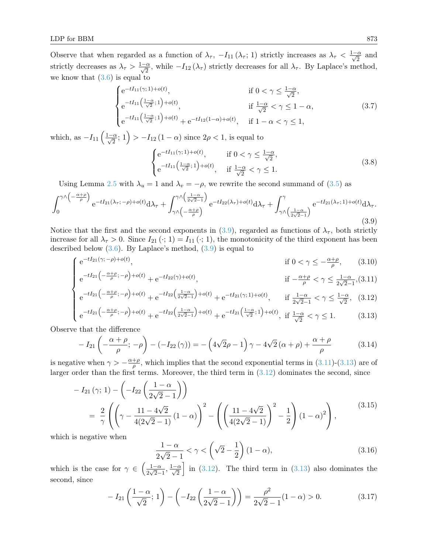Observe that when regarded as a function of  $\lambda_{\tau}$ ,  $-I_{11}(\lambda_{\tau}; 1)$  strictly increases as  $\lambda_{\tau} < \frac{1-\alpha}{\sqrt{2}}$  and strictly decreases as  $\lambda_{\tau} > \frac{1-\alpha}{\sqrt{2}}$ , while  $-I_{12}(\lambda_{\tau})$  strictly decreases for all  $\lambda_{\tau}$ . By Laplace's method, we know that  $(3.6)$  is equal to

$$
\begin{cases}\n e^{-tI_{11}(\gamma; 1) + o(t)}, & \text{if } 0 < \gamma \leq \frac{1-\alpha}{\sqrt{2}}, \\
 e^{-tI_{11}\left(\frac{1-\alpha}{\sqrt{2}}; 1\right) + o(t)}, & \text{if } \frac{1-\alpha}{\sqrt{2}} < \gamma \leq 1-\alpha, \\
 e^{-tI_{11}\left(\frac{1-\alpha}{\sqrt{2}}; 1\right) + o(t)} + e^{-tI_{12}(1-\alpha) + o(t)}, & \text{if } 1-\alpha < \gamma \leq 1,\n\end{cases}
$$
\n(3.7)

which, as  $-I_{11}\left(\frac{1-\alpha}{\sqrt{2}}; 1\right) > -I_{12}(1-\alpha)$  since  $2\rho < 1$ , is equal to

<span id="page-14-1"></span>
$$
\begin{cases}\n e^{-tI_{11}(\gamma; 1) + o(t)}, & \text{if } 0 < \gamma \le \frac{1-\alpha}{\sqrt{2}}, \\
 e^{-tI_{11}\left(\frac{1-\alpha}{\sqrt{2}}; 1\right) + o(t)}, & \text{if } \frac{1-\alpha}{\sqrt{2}} < \gamma \le 1.\n\end{cases}
$$
\n(3.8)

Using Lemma [2.5](#page-11-1) with  $\lambda_u = 1$  and  $\lambda_v = -\rho$ , we rewrite the second summand of [\(3.5\)](#page-13-2) as

<span id="page-14-0"></span>
$$
\int_0^{\gamma \wedge \left(-\frac{\alpha+\rho}{\rho}\right)} e^{-tI_{21}(\lambda_\tau;-\rho)+o(t)} d\lambda_\tau + \int_{\gamma \wedge \left(-\frac{\alpha+\rho}{\rho}\right)}^{\gamma \wedge \left(\frac{1-\alpha}{2\sqrt{2}-1}\right)} e^{-tI_{22}(\lambda_\tau)+o(t)} d\lambda_\tau + \int_{\gamma \wedge \left(\frac{1-\alpha}{2\sqrt{2}-1}\right)}^{\gamma} e^{-tI_{21}(\lambda_\tau;1)+o(t)} d\lambda_\tau.
$$
\n(3.9)

Notice that the first and the second exponents in [\(3.9\)](#page-14-0), regarded as functions of  $\lambda_{\tau}$ , both strictly increase for all  $\lambda_{\tau} > 0$ . Since  $I_{21}(\cdot; 1) = I_{11}(\cdot; 1)$ , the monotonicity of the third exponent has been described below  $(3.6)$ . By Laplace's method,  $(3.9)$  is equal to

$$
\begin{cases}\n e^{-tI_{21}(\gamma; -\rho) + o(t)}, & \text{if } 0 < \gamma \le -\frac{\alpha + \rho}{\rho}, \qquad (3.10) \\
 e^{-tI_{21}\left(-\frac{\alpha + \rho}{\rho}; -\rho\right) + o(t)} + e^{-tI_{22}(\gamma) + o(t)}, & \text{if } -\frac{\alpha + \rho}{\rho} < \gamma \le \frac{1 - \alpha}{2\sqrt{2} - 1}, (3.11)\n\end{cases}
$$

$$
e^{-tI_{21}\left(-\frac{\alpha+\rho}{\rho};-\rho\right)+o(t)} + e^{-tI_{22}(\gamma)+o(t)}, \qquad \text{if } -\frac{\alpha+\rho}{\rho} < \gamma \le \frac{1-\alpha}{2\sqrt{2}-1}, (3.11)
$$

$$
e^{-tI_{21}\left(-\frac{\alpha+\rho}{\rho};-\rho\right)+o(t)} + e^{-tI_{22}\left(\frac{1-\alpha}{2\sqrt{2}-1}\right)+o(t)} + e^{-tI_{21}(\gamma;1)+o(t)}, \quad \text{if } \frac{1-\alpha}{2\sqrt{2}-1} < \gamma \le \frac{1-\alpha}{\sqrt{2}}, \tag{3.12}
$$

$$
\begin{cases} e^{-tI_{21}\left(-\frac{\alpha+\rho}{\rho};-\rho\right)+o(t)} + e^{-tI_{22}\left(\frac{1-\alpha}{2\sqrt{2}-1}\right)+o(t)} + e^{-tI_{21}\left(\frac{1-\alpha}{\sqrt{2}};1\right)+o(t)}, & \text{if } \frac{1-\alpha}{\sqrt{2}} < \gamma \le \frac{1-\alpha}{\sqrt{2}}, \ (3.12) \\ e^{-tI_{21}\left(-\frac{\alpha+\rho}{\rho};-\rho\right)+o(t)} + e^{-tI_{22}\left(\frac{1-\alpha}{2\sqrt{2}-1}\right)+o(t)} + e^{-tI_{21}\left(\frac{1-\alpha}{\sqrt{2}};1\right)+o(t)}, & \text{if } \frac{1-\alpha}{\sqrt{2}} < \gamma \le 1. \end{cases} (3.13)
$$

Observe that the difference

$$
-I_{21}\left(-\frac{\alpha+\rho}{\rho};-\rho\right)-\left(-I_{22}\left(\gamma\right)\right)=-\left(4\sqrt{2}\rho-1\right)\gamma-4\sqrt{2}\left(\alpha+\rho\right)+\frac{\alpha+\rho}{\rho}\tag{3.14}
$$

is negative when  $\gamma > -\frac{\alpha+\rho}{\alpha}$  $\frac{+p}{\rho}$ , which implies that the second exponential terms in  $(3.11)-(3.13)$  $(3.11)-(3.13)$  $(3.11)-(3.13)$  are of larger order than the first terms. Moreover, the third term in [\(3.12\)](#page-14-0) dominates the second, since

$$
-I_{21}(\gamma; 1) - \left(-I_{22}\left(\frac{1-\alpha}{2\sqrt{2}-1}\right)\right)
$$
  
=  $\frac{2}{\gamma} \left( \left(\gamma - \frac{11 - 4\sqrt{2}}{4(2\sqrt{2}-1)}(1-\alpha)\right)^2 - \left(\left(\frac{11 - 4\sqrt{2}}{4(2\sqrt{2}-1)}\right)^2 - \frac{1}{2}\right)(1-\alpha)^2 \right),$  (3.15)

which is negative when

$$
\frac{1-\alpha}{2\sqrt{2}-1} < \gamma < \left(\sqrt{2}-\frac{1}{2}\right)(1-\alpha),\tag{3.16}
$$

which is the case for  $\gamma \in \left(\frac{1-\alpha}{2\sqrt{2}}\right)$  $\frac{1-\alpha}{2\sqrt{2}-1}, \frac{1-\alpha}{\sqrt{2}}$ in  $(3.12)$ . The third term in  $(3.13)$  also dominates the second, since

$$
-I_{21}\left(\frac{1-\alpha}{\sqrt{2}};1\right) - \left(-I_{22}\left(\frac{1-\alpha}{2\sqrt{2}-1}\right)\right) = \frac{\rho^2}{2\sqrt{2}-1}(1-\alpha) > 0. \tag{3.17}
$$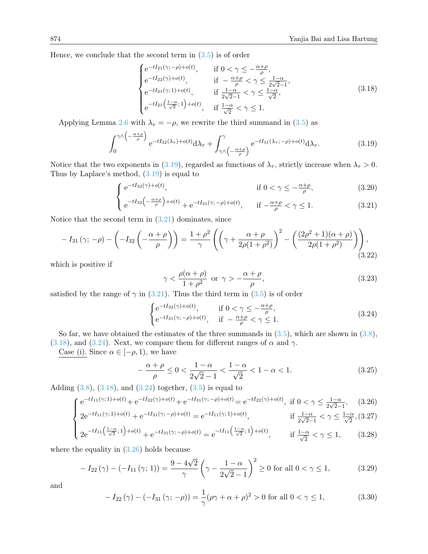Hence, we conclude that the second term in  $(3.5)$  is of order

<span id="page-15-1"></span>
$$
\begin{cases}\n\mathrm{e}^{-tI_{21}(\gamma; -\rho)+o(t)}, & \text{if } 0 < \gamma \le -\frac{\alpha+\rho}{\rho}, \\
\mathrm{e}^{-tI_{22}(\gamma)+o(t)}, & \text{if } -\frac{\alpha+\rho}{\rho} < \gamma \le \frac{1-\alpha}{2\sqrt{2}-1}, \\
\mathrm{e}^{-tI_{21}(\gamma; 1)+o(t)}, & \text{if } \frac{1-\alpha}{2\sqrt{2}-1} < \gamma \le \frac{1-\alpha}{\sqrt{2}}, \\
\mathrm{e}^{-tI_{21}\left(\frac{1-\alpha}{\sqrt{2}}; 1\right)+o(t)}, & \text{if } \frac{1-\alpha}{\sqrt{2}} < \gamma \le 1.\n\end{cases} \tag{3.18}
$$

Applying Lemma [2.6](#page-12-0) with  $\lambda_v = -\rho$ , we rewrite the third summand in [\(3.5\)](#page-13-2) as

<span id="page-15-0"></span>
$$
\int_0^{\gamma \wedge \left(-\frac{\alpha+\rho}{\rho}\right)} e^{-tI_{32}(\lambda_\tau)+o(t)} d\lambda_\tau + \int_{\gamma \wedge \left(-\frac{\alpha+\rho}{\rho}\right)}^{\gamma} e^{-tI_{31}(\lambda_\tau;-\rho)+o(t)} d\lambda_\tau.
$$
 (3.19)

Notice that the two exponents in [\(3.19\)](#page-15-0), regarded as functions of  $\lambda_{\tau}$ , strictly increase when  $\lambda_{\tau} > 0$ . Thus by Laplace's method, [\(3.19\)](#page-15-0) is equal to

$$
\begin{cases} e^{-tI_{32}(\gamma)+o(t)}, & \text{if } 0 < \gamma \le -\frac{\alpha+\rho}{\rho}, \end{cases}
$$
 (3.20)

$$
\left\{ e^{-tI_{32}\left(-\frac{\alpha+\rho}{\rho}\right)+o(t)} + e^{-tI_{31}(\gamma;-\rho)+o(t)}, \quad \text{if } -\frac{\alpha+\rho}{\rho} < \gamma \le 1. \right. \tag{3.21}
$$

Notice that the second term in  $(3.21)$  dominates, since

$$
-I_{31}(\gamma;-\rho) - \left(-I_{32}\left(-\frac{\alpha+\rho}{\rho}\right)\right) = \frac{1+\rho^2}{\gamma} \left(\left(\gamma + \frac{\alpha+\rho}{2\rho(1+\rho^2)}\right)^2 - \left(\frac{(2\rho^2+1)(\alpha+\rho)}{2\rho(1+\rho^2)}\right)\right),\tag{3.22}
$$

which is positive if

 $\sqrt{ }$ 

$$
\gamma < \frac{\rho(\alpha + \rho)}{1 + \rho^2} \text{ or } \gamma > -\frac{\alpha + \rho}{\rho},\tag{3.23}
$$

satisfied by the range of  $\gamma$  in [\(3.21\)](#page-15-0). Thus the third term in [\(3.5\)](#page-13-2) is of order

<span id="page-15-2"></span>
$$
\begin{cases}\n e^{-tI_{32}(\gamma)+o(t)}, & \text{if } 0 < \gamma \le -\frac{\alpha+\rho}{\rho}, \\
 e^{-tI_{31}(\gamma;-\rho)+o(t)}, & \text{if } -\frac{\alpha+\rho}{\rho} < \gamma \le 1.\n\end{cases}
$$
\n(3.24)

So far, we have obtained the estimates of the three summands in  $(3.5)$ , which are shown in  $(3.8)$ , [\(3.18\)](#page-15-1), and [\(3.24\)](#page-15-2). Next, we compare them for different ranges of  $\alpha$  and  $\gamma$ .

Case (i). Since  $\alpha \in [-\rho, 1)$ , we have

$$
-\frac{\alpha+\rho}{\rho} \le 0 < \frac{1-\alpha}{2\sqrt{2}-1} < \frac{1-\alpha}{\sqrt{2}} < 1-\alpha < 1. \tag{3.25}
$$

Adding  $(3.8)$ ,  $(3.18)$ , and  $(3.24)$  together,  $(3.5)$  is equal to

<span id="page-15-3"></span>−

$$
e^{-tI_{11}(\gamma; 1) + o(t)} + e^{-tI_{22}(\gamma) + o(t)} + e^{-tI_{31}(\gamma; -\rho) + o(t)} = e^{-tI_{22}(\gamma) + o(t)}, \text{ if } 0 < \gamma \le \frac{1-\alpha}{2\sqrt{2}-1}, \quad (3.26)
$$

$$
\begin{cases}\n2e^{-tI_{11}(\gamma;1)+o(t)} + e^{-tI_{31}(\gamma;-\rho)+o(t)} = e^{-tI_{11}(\gamma;1)+o(t)}, & \text{if } \frac{1-\alpha}{2\sqrt{2}-1} < \gamma \le \frac{1-\alpha}{\sqrt{2}}, (3.27)\n\end{cases}
$$

$$
\left(2e^{-tI_{11}\left(\frac{1-\alpha}{\sqrt{2}};1\right)+o(t)}+e^{-tI_{31}(\gamma;-\rho)+o(t)}=e^{-tI_{11}\left(\frac{1-\alpha}{\sqrt{2}};1\right)+o(t)},\qquad\text{if }\frac{1-\alpha}{\sqrt{2}}<\gamma\leq 1,\qquad(3.28)
$$

where the equality in  $(3.26)$  holds because

$$
-I_{22}(\gamma) - (-I_{11}(\gamma; 1)) = \frac{9 - 4\sqrt{2}}{\gamma} \left(\gamma - \frac{1 - \alpha}{2\sqrt{2} - 1}\right)^2 \ge 0 \text{ for all } 0 < \gamma \le 1,
$$
 (3.29)

and

$$
-I_{22}(\gamma) - (-I_{31}(\gamma; -\rho)) = \frac{1}{\gamma}(\rho\gamma + \alpha + \rho)^2 > 0 \text{ for all } 0 < \gamma \le 1,
$$
 (3.30)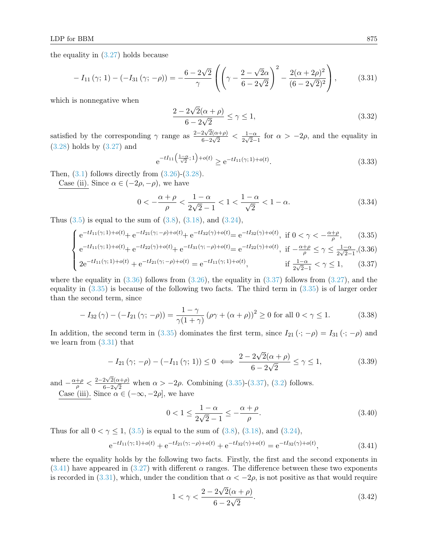the equality in [\(3.27\)](#page-15-3) holds because

<span id="page-16-1"></span>
$$
-I_{11}(\gamma; 1) - (-I_{31}(\gamma; -\rho)) = -\frac{6 - 2\sqrt{2}}{\gamma} \left( \left( \gamma - \frac{2 - \sqrt{2}\alpha}{6 - 2\sqrt{2}} \right)^2 - \frac{2(\alpha + 2\rho)^2}{(6 - 2\sqrt{2})^2} \right),\tag{3.31}
$$

which is nonnegative when

$$
\frac{2 - 2\sqrt{2}(\alpha + \rho)}{6 - 2\sqrt{2}} \le \gamma \le 1,
$$
\n(3.32)

satisfied by the corresponding  $\gamma$  range as  $\frac{2-2\sqrt{2}(\alpha+\rho)}{2\sqrt{2}}$  $\frac{2\sqrt{2}(\alpha+\rho)}{6-2\sqrt{2}} < \frac{1-\alpha}{2\sqrt{2}-\alpha}$  $\frac{1-\alpha}{2\sqrt{2}-1}$  for  $\alpha > -2\rho$ , and the equality in [\(3.28\)](#page-15-3) holds by [\(3.27\)](#page-15-3) and

$$
e^{-tI_{11}\left(\frac{1-\alpha}{\sqrt{2}};1\right)+o(t)} \ge e^{-tI_{11}(\gamma;1)+o(t)}.\tag{3.33}
$$

Then,  $(3.1)$  follows directly from  $(3.26)$ - $(3.28)$ .

Case (ii). Since  $\alpha \in (-2\rho, -\rho)$ , we have

<span id="page-16-0"></span>
$$
0 < -\frac{\alpha + \rho}{\rho} < \frac{1 - \alpha}{2\sqrt{2} - 1} < 1 < \frac{1 - \alpha}{\sqrt{2}} < 1 - \alpha.
$$
 (3.34)

Thus  $(3.5)$  is equal to the sum of  $(3.8)$ ,  $(3.18)$ , and  $(3.24)$ ,

$$
\int e^{-tI_{11}(\gamma; 1) + o(t)} + e^{-tI_{21}(\gamma; -\rho) + o(t)} + e^{-tI_{32}(\gamma) + o(t)} = e^{-tI_{32}(\gamma) + o(t)}, \text{ if } 0 < \gamma < -\frac{\alpha + \rho}{\rho}, \qquad (3.35)
$$
  

$$
e^{-tI_{11}(\gamma; 1) + o(t)} + e^{-tI_{22}(\gamma) + o(t)} + e^{-tI_{31}(\gamma; -\rho) + o(t)} = e^{-tI_{22}(\gamma) + o(t)} \text{ if } -\frac{\alpha + \rho}{\rho} < \gamma < \frac{1 - \alpha}{\rho} \qquad (3.36)
$$

$$
\begin{cases} e^{-tI_{11}(\gamma;1)+o(t)} + e^{-tI_{22}(\gamma)+o(t)} + e^{-tI_{31}(\gamma;-\rho)+o(t)} = e^{-tI_{22}(\gamma)+o(t)}, \text{ if } -\frac{\alpha+\rho}{\rho} \le \gamma \le \frac{1-\alpha}{2\sqrt{2}-1}, (3.36) \\ 2e^{-tI_{11}(\gamma;1)+o(t)} + e^{-tI_{21}(\gamma;-\rho)+o(t)} = e^{-tI_{11}(\gamma;1)+o(t)}, \text{ if } \frac{1-\alpha}{2\sqrt{2}-1} < \gamma \le 1, \end{cases}
$$

where the equality in  $(3.36)$  follows from  $(3.26)$ , the equality in  $(3.37)$  follows from  $(3.27)$ , and the equality in [\(3.35\)](#page-16-0) is because of the following two facts. The third term in [\(3.35\)](#page-16-0) is of larger order than the second term, since

<span id="page-16-3"></span>
$$
-I_{32}(\gamma) - (-I_{21}(\gamma; -\rho)) = \frac{1-\gamma}{\gamma(1+\gamma)} (\rho\gamma + (\alpha+\rho))^2 \ge 0 \text{ for all } 0 < \gamma \le 1.
$$
 (3.38)

In addition, the second term in [\(3.35\)](#page-16-0) dominates the first term, since  $I_{21}(\cdot; -\rho) = I_{31}(\cdot; -\rho)$  and we learn from [\(3.31\)](#page-16-1) that

$$
-I_{21}(\gamma; -\rho) - (-I_{11}(\gamma; 1)) \le 0 \iff \frac{2 - 2\sqrt{2}(\alpha + \rho)}{6 - 2\sqrt{2}} \le \gamma \le 1,
$$
\n(3.39)

and  $-\frac{\alpha+\rho}{\rho} < \frac{2-2\sqrt{2}(\alpha+\rho)}{6-2\sqrt{2}}$  $\frac{2\sqrt{2}(\alpha+\beta)}{6-2\sqrt{2}}$  when  $\alpha > -2\rho$ . Combining [\(3.35\)](#page-16-0)-[\(3.37\)](#page-16-0), [\(3.2\)](#page-13-5) follows. Case (iii). Since  $\alpha \in (-\infty, -2\rho]$ , we have

$$
0 < 1 \le \frac{1 - \alpha}{2\sqrt{2} - 1} \le -\frac{\alpha + \rho}{\rho}.\tag{3.40}
$$

Thus for all  $0 < \gamma \le 1$ , [\(3.5\)](#page-13-2) is equal to the sum of [\(3.8\)](#page-14-1), [\(3.18\)](#page-15-1), and [\(3.24\)](#page-15-2),

<span id="page-16-2"></span>
$$
e^{-tI_{11}(\gamma; 1) + o(t)} + e^{-tI_{21}(\gamma; -\rho) + o(t)} + e^{-tI_{32}(\gamma) + o(t)} = e^{-tI_{32}(\gamma) + o(t)},
$$
\n(3.41)

where the equality holds by the following two facts. Firstly, the first and the second exponents in  $(3.41)$  have appeared in  $(3.27)$  with different  $\alpha$  ranges. The difference between these two exponents is recorded in [\(3.31\)](#page-16-1), which, under the condition that  $\alpha < -2\rho$ , is not positive as that would require

$$
1 < \gamma < \frac{2 - 2\sqrt{2}(\alpha + \rho)}{6 - 2\sqrt{2}}.
$$
\n(3.42)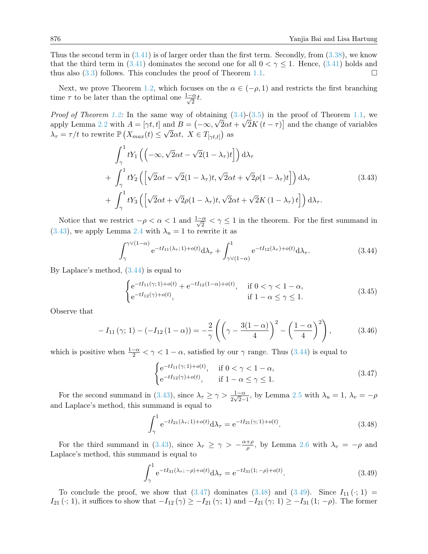Thus the second term in  $(3.41)$  is of larger order than the first term. Secondly, from  $(3.38)$ , we know that the third term in [\(3.41\)](#page-16-2) dominates the second one for all  $0 < \gamma \leq 1$ . Hence, (3.41) holds and thus also  $(3.3)$  follows. This concludes the proof of Theorem [1.1.](#page-2-1)

Next, we prove Theorem [1.2,](#page-3-1) which focuses on the  $\alpha \in (-\rho, 1)$  and restricts the first branching time  $\tau$  to be later than the optimal one  $\frac{1-\alpha}{\sqrt{2}}t$ .

*Proof of Theorem [1.2:](#page-3-1)* In the same way of obtaining  $(3.4)-(3.5)$  $(3.4)-(3.5)$  $(3.4)-(3.5)$  in the proof of Theorem [1.1,](#page-2-1) we apply Lemma [2.2](#page-9-0) with  $A = [\gamma t, t]$  and  $B = (-\infty, \sqrt{2\alpha}t + \sqrt{2}K(t - \tau)]$  and the change of variables  $\lambda_{\tau} = \tau/t$  to rewrite  $\mathbb{P}\left(X_{max}(t) \leq \tau\right)$ √  $\overline{2}\alpha t$ ,  $X \in T_{[\gamma t,t]}$ ) as

$$
\int_{\gamma}^{1} tY_{1}\left(\left(-\infty, \sqrt{2}\alpha t - \sqrt{2}(1-\lambda_{\tau})t\right)\right) d\lambda_{\tau} \n+ \int_{\gamma}^{1} tY_{2}\left(\left[\sqrt{2}\alpha t - \sqrt{2}(1-\lambda_{\tau})t, \sqrt{2}\alpha t + \sqrt{2}\rho(1-\lambda_{\tau})t\right]\right) d\lambda_{\tau}
$$
\n(3.43)  
\n
$$
+ \int_{\gamma}^{1} tY_{3}\left(\left[\sqrt{2}\alpha t + \sqrt{2}\rho(1-\lambda_{\tau})t, \sqrt{2}\alpha t + \sqrt{2}K(1-\lambda_{\tau})t\right]\right) d\lambda_{\tau}.
$$

<span id="page-17-0"></span>Notice that we restrict  $-\rho < \alpha < 1$  and  $\frac{1-\alpha}{\sqrt{2}} < \gamma \le 1$  in the theorem. For the first summand in [\(3.43\)](#page-17-0), we apply Lemma [2.4](#page-11-0) with  $\lambda_u = 1$  to rewrite it as

<span id="page-17-1"></span>
$$
\int_{\gamma}^{\gamma \vee (1-\alpha)} e^{-tI_{11}(\lambda_{\tau}; 1) + o(t)} d\lambda_{\tau} + \int_{\gamma \vee (1-\alpha)}^{1} e^{-tI_{12}(\lambda_{\tau}) + o(t)} d\lambda_{\tau}.
$$
 (3.44)

By Laplace's method, [\(3.44\)](#page-17-1) is equal to

$$
\begin{cases} e^{-tI_{11}(\gamma;1)+o(t)} + e^{-tI_{12}(1-\alpha)+o(t)}, & \text{if } 0 < \gamma < 1 - \alpha, \\ e^{-tI_{12}(\gamma)+o(t)}, & \text{if } 1 - \alpha \le \gamma \le 1. \end{cases}
$$
 (3.45)

Observe that

$$
-I_{11}(\gamma; 1) - (-I_{12}(1-\alpha)) = -\frac{2}{\gamma} \left( \left( \gamma - \frac{3(1-\alpha)}{4} \right)^2 - \left( \frac{1-\alpha}{4} \right)^2 \right), \tag{3.46}
$$

which is positive when  $\frac{1-\alpha}{2} < \gamma < 1-\alpha$ , satisfied by our  $\gamma$  range. Thus [\(3.44\)](#page-17-1) is equal to

<span id="page-17-2"></span>
$$
\begin{cases}\n e^{-tI_{11}(\gamma;1)+o(t)}, & \text{if } 0 < \gamma < 1-\alpha, \\
 e^{-tI_{12}(\gamma)+o(t)}, & \text{if } 1-\alpha \le \gamma \le 1.\n\end{cases}
$$
\n(3.47)

For the second summand in [\(3.43\)](#page-17-0), since  $\lambda_{\tau} \ge \gamma > \frac{1-\alpha}{2\sqrt{2}-1}$ , by Lemma [2.5](#page-11-1) with  $\lambda_u = 1$ ,  $\lambda_v = -\rho$ and Laplace's method, this summand is equal to

<span id="page-17-3"></span>
$$
\int_{\gamma}^{1} e^{-tI_{21}(\lambda_{\tau}; 1) + o(t)} d\lambda_{\tau} = e^{-tI_{21}(\gamma; 1) + o(t)}.
$$
\n(3.48)

For the third summand in [\(3.43\)](#page-17-0), since  $\lambda_{\tau} \geq \gamma > -\frac{\alpha+\rho}{\rho}$  $\frac{+\rho}{\rho}$ , by Lemma [2.6](#page-12-0) with  $\lambda_v = -\rho$  and Laplace's method, this summand is equal to

<span id="page-17-4"></span>
$$
\int_{\gamma}^{1} e^{-tI_{31}(\lambda_{\tau}; -\rho) + o(t)} d\lambda_{\tau} = e^{-tI_{31}(1; -\rho) + o(t)}.
$$
\n(3.49)

To conclude the proof, we show that  $(3.47)$  dominates  $(3.48)$  and  $(3.49)$ . Since  $I_{11}(\cdot; 1)$  =  $I_{21}$  ( $\cdot$ ; 1), it suffices to show that  $-I_{12}(\gamma) \geq -I_{21}(\gamma; 1)$  and  $-I_{21}(\gamma; 1) \geq -I_{31}(1; -\rho)$ . The former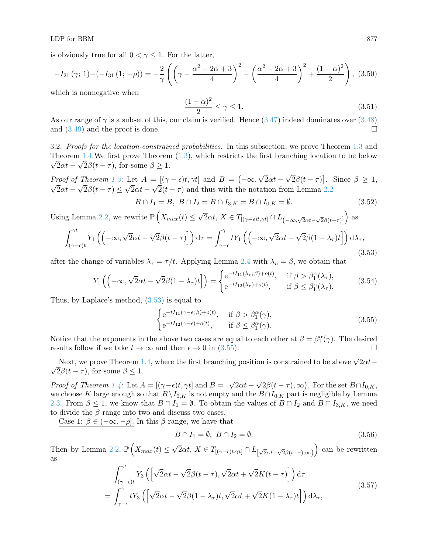is obviously true for all  $0 < \gamma \leq 1$ . For the latter,

$$
-I_{21}(\gamma; 1) - (-I_{31}(1; -\rho)) = -\frac{2}{\gamma} \left( \left( \gamma - \frac{\alpha^2 - 2\alpha + 3}{4} \right)^2 - \left( \frac{\alpha^2 - 2\alpha + 3}{4} \right)^2 + \frac{(1 - \alpha)^2}{2} \right), (3.50)
$$

which is nonnegative when

$$
\frac{(1-\alpha)^2}{2} \le \gamma \le 1. \tag{3.51}
$$

As our range of  $\gamma$  is a subset of this, our claim is verified. Hence [\(3.47\)](#page-17-2) indeed dominates over [\(3.48\)](#page-17-3) and  $(3.49)$  and the proof is done.

<span id="page-18-0"></span>3.2. Proofs for the location-constrained probabilities. In this subsection, we prove Theorem [1.3](#page-3-2) and Theorem [1.4.](#page-5-1) We first prove Theorem  $(1.3)$ , which restricts the first branching location to be below  $2\alpha t - \sqrt{2\beta(t-\tau)}$ , for some  $\beta \geq 1$ .

Proof of Theorem [1.3:](#page-3-2) Let  $A = [(\gamma - \epsilon)t, \gamma t]$  and  $B = (-\infty,$ √  $2\alpha t -$ √ Proof of Theorem 1.3: Let  $A = [(\gamma - \epsilon)t, \gamma t]$  and  $B = (-\infty, \sqrt{2}\alpha t - \sqrt{2}\beta(t - \tau)].$  Since  $\beta \ge 1$ ,  $2\alpha t -$ √  $2\beta(t-\tau) \leq$ √  $2\alpha t -$ √  $2(t - \tau)$  and thus with the notation from Lemma [2.2](#page-9-0)

$$
B \cap I_1 = B, \ B \cap I_2 = B \cap I_{3,K} = B \cap I_{0,K} = \emptyset. \tag{3.52}
$$

Using Lemma [2.2,](#page-9-0) we rewrite  $\mathbb{P}\left(X_{max}(t) \leq \mathbb{P}\right)$  $\overline{2}\alpha t$ ,  $X \in T_{[(\gamma-\epsilon)t,\gamma t]} \cap L_{(-\infty,\sqrt{2}\alpha t-\sqrt{2}\beta(t-\tau)]}$  $\big)$  as

<span id="page-18-1"></span>
$$
\int_{(\gamma-\epsilon)t}^{\gamma t} Y_1\left(\left(-\infty, \sqrt{2}\alpha t - \sqrt{2}\beta(t-\tau)\right)\right) d\tau = \int_{\gamma-\epsilon}^{\gamma} t Y_1\left(\left(-\infty, \sqrt{2}\alpha t - \sqrt{2}\beta(1-\lambda_{\tau})t\right)\right) d\lambda_{\tau},\tag{3.53}
$$

after the change of variables  $\lambda_{\tau} = \tau/t$ . Applying Lemma [2.4](#page-11-0) with  $\lambda_{u} = \beta$ , we obtain that

$$
Y_1\left(\left(-\infty, \sqrt{2}\alpha t - \sqrt{2}\beta(1-\lambda_\tau)t\right]\right) = \begin{cases} e^{-tI_{11}(\lambda_\tau;\beta)+o(t)}, & \text{if } \beta > \beta_1^{\alpha}(\lambda_\tau), \\ e^{-tI_{12}(\lambda_\tau)+o(t)}, & \text{if } \beta \le \beta_1^{\alpha}(\lambda_\tau). \end{cases} (3.54)
$$

Thus, by Laplace's method, [\(3.53\)](#page-18-1) is equal to

<span id="page-18-2"></span>
$$
\begin{cases}\n e^{-tI_{11}(\gamma-\epsilon;\beta)+o(t)}, & \text{if } \beta > \beta_1^{\alpha}(\gamma), \\
 e^{-tI_{12}(\gamma-\epsilon)+o(t)}, & \text{if } \beta \leq \beta_1^{\alpha}(\gamma).\n\end{cases}
$$
\n(3.55)

Notice that the exponents in the above two cases are equal to each other at  $\beta = \beta_1^{\alpha}(\gamma)$ . The desired results follow if we take  $t \to \infty$  and then  $\epsilon \to 0$  in [\(3.55\)](#page-18-2).

Next, we prove Theorem [1.4,](#page-5-1) where the first branching position is constrained to be above  $\sqrt{2\alpha}t-$ √  $2\beta(t-\tau)$ , for some  $\beta \leq 1$ .

*Proof of Theorem [1.4:](#page-5-1)* Let  $A = [(\gamma - \epsilon)t, \gamma t]$  and  $B = [$ √  $2\alpha t -$ √  $\overline{2}\beta(t-\tau),\infty$ ). For the set  $B\cap I_{0,K}$ , we choose K large enough so that  $B\setminus I_{0,K}$  is not empty and the  $B\cap I_{0,K}$  part is negligible by Lemma [2.3.](#page-10-3) From  $\beta \leq 1$ , we know that  $B \cap I_1 = \emptyset$ . To obtain the values of  $B \cap I_2$  and  $B \cap I_{3,K}$ , we need to divide the  $\beta$  range into two and discuss two cases.

Case 1:  $\beta \in (-\infty, -\rho]$ . In this  $\beta$  range, we have that

$$
B \cap I_1 = \emptyset, \ B \cap I_2 = \emptyset. \tag{3.56}
$$

<span id="page-18-3"></span>Then by Lemma [2.2,](#page-9-0)  $\mathbb{P}\left(X_{max}(t) \leq \right)$ √  $\overline{2}\alpha t$ ,  $X \in T_{[(\gamma-\epsilon)t,\gamma t]} \cap L_{\left[\sqrt{2}\alpha t - \sqrt{2}\beta(t-\tau),\infty\right)}$  can be rewritten as

$$
\int_{(\gamma-\epsilon)t}^{\gamma t} Y_3\left(\left[\sqrt{2}\alpha t - \sqrt{2}\beta(t-\tau), \sqrt{2}\alpha t + \sqrt{2}K(t-\tau)\right]\right) d\tau
$$
\n
$$
= \int_{\gamma-\epsilon}^{\gamma} tY_3\left(\left[\sqrt{2}\alpha t - \sqrt{2}\beta(1-\lambda_{\tau})t, \sqrt{2}\alpha t + \sqrt{2}K(1-\lambda_{\tau})t\right]\right) d\lambda_{\tau},
$$
\n(3.57)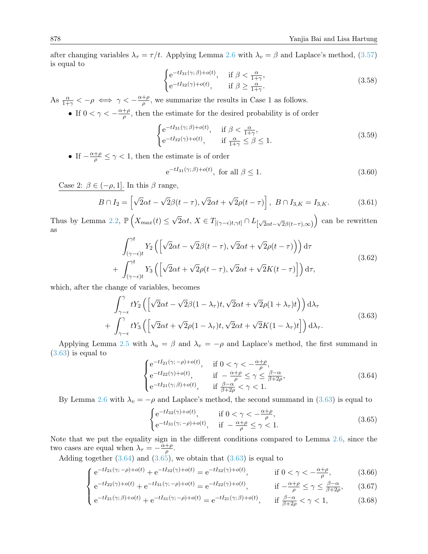after changing variables  $\lambda_{\tau} = \tau/t$ . Applying Lemma [2.6](#page-12-0) with  $\lambda_{v} = \beta$  and Laplace's method, [\(3.57\)](#page-18-3) is equal to

$$
\begin{cases}\n e^{-tI_{31}(\gamma;\,\beta)+o(t)}, & \text{if } \beta < \frac{\alpha}{1+\gamma}, \\
 e^{-tI_{32}(\gamma)+o(t)}, & \text{if } \beta \ge \frac{\alpha}{1+\gamma}.\n\end{cases}
$$
\n(3.58)

As  $\frac{\alpha}{1+\gamma} < -\rho \iff \gamma < -\frac{\alpha+\rho}{\rho}$  $\frac{+\rho}{\rho}$ , we summarize the results in Case 1 as follows.

• If  $0 < \gamma < -\frac{\alpha+\rho}{\alpha}$  $\frac{+ \rho}{\rho}$ , then the estimate for the desired probability is of order

<span id="page-19-3"></span>
$$
\begin{cases}\n e^{-tI_{31}(\gamma;\beta)+o(t)}, & \text{if } \beta < \frac{\alpha}{1+\gamma}, \\
 e^{-tI_{32}(\gamma)+o(t)}, & \text{if } \frac{\alpha}{1+\gamma} \leq \beta \leq 1.\n\end{cases}
$$
\n(3.59)

• If  $-\frac{\alpha+\rho}{\rho} \leq \gamma < 1$ , then the estimate is of order

<span id="page-19-4"></span>
$$
e^{-tI_{31}(\gamma;\beta)+o(t)}, \text{ for all } \beta \le 1. \tag{3.60}
$$

Case 2:  $\beta \in (-\rho, 1]$ . In this  $\beta$  range,

$$
B \cap I_2 = \left[ \sqrt{2}\alpha t - \sqrt{2}\beta (t - \tau), \sqrt{2}\alpha t + \sqrt{2}\rho (t - \tau) \right], \ B \cap I_{3,K} = I_{3,K}.
$$
 (3.61)

Thus by Lemma [2.2,](#page-9-0)  $\mathbb{P}\left(X_{max}(t) \leq \right)$ √  $\overline{2}\alpha t$ ,  $X \in T_{[(\gamma-\epsilon)t,\gamma t]} \cap L_{[\sqrt{2}\alpha t - \sqrt{2}\beta(t-\tau),\infty)}$  can be rewritten as

$$
\int_{(\gamma-\epsilon)t}^{\gamma t} Y_2 \left( \left[ \sqrt{2}\alpha t - \sqrt{2}\beta(t-\tau), \sqrt{2}\alpha t + \sqrt{2}\rho(t-\tau) \right] \right) d\tau + \int_{(\gamma-\epsilon)t}^{\gamma t} Y_3 \left( \left[ \sqrt{2}\alpha t + \sqrt{2}\rho(t-\tau), \sqrt{2}\alpha t + \sqrt{2}K(t-\tau) \right] \right) d\tau,
$$
\n(3.62)

<span id="page-19-0"></span>which, after the change of variables, becomes

$$
\int_{\gamma-\epsilon}^{\gamma} tY_2 \left( \left[ \sqrt{2}\alpha t - \sqrt{2}\beta (1-\lambda_{\tau})t, \sqrt{2}\alpha t + \sqrt{2}\rho (1+\lambda_{\tau})t \right) \right) d\lambda_{\tau} + \int_{\gamma-\epsilon}^{\gamma} tY_3 \left( \left[ \sqrt{2}\alpha t + \sqrt{2}\rho (1-\lambda_{\tau})t, \sqrt{2}\alpha t + \sqrt{2}K(1-\lambda_{\tau})t \right] \right) d\lambda_{\tau}.
$$
\n(3.63)

Applying Lemma [2.5](#page-11-1) with  $\lambda_u = \beta$  and  $\lambda_v = -\rho$  and Laplace's method, the first summand in  $(3.63)$  is equal to

<span id="page-19-1"></span>
$$
\begin{cases}\n e^{-tI_{21}(\gamma; -\rho) + o(t)}, & \text{if } 0 < \gamma < -\frac{\alpha + \rho}{\rho}, \\
 e^{-tI_{22}(\gamma) + o(t)}, & \text{if } -\frac{\alpha + \rho}{\rho} \le \gamma \le \frac{\beta - \alpha}{\beta + 2\rho}, \\
 e^{-tI_{21}(\gamma; \beta) + o(t)}, & \text{if } \frac{\beta - \alpha}{\beta + 2\rho} < \gamma < 1.\n\end{cases}
$$
\n(3.64)

By Lemma [2.6](#page-12-0) with  $\lambda_v = -\rho$  and Laplace's method, the second summand in [\(3.63\)](#page-19-0) is equal to

<span id="page-19-2"></span>
$$
\begin{cases}\n e^{-tI_{32}(\gamma)+o(t)}, & \text{if } 0 < \gamma < -\frac{\alpha+\rho}{\rho}, \\
 e^{-tI_{31}(\gamma;-\rho)+o(t)}, & \text{if } -\frac{\alpha+\rho}{\rho} \le \gamma < 1.\n\end{cases}
$$
\n(3.65)

Note that we put the equality sign in the different conditions compared to Lemma [2.6,](#page-12-0) since the two cases are equal when  $\lambda_{\tau} = -\frac{\alpha + \rho}{\rho}$  $\frac{+\rho}{\rho}$ .

Adding together  $(3.64)$  and  $(3.65)$ , we obtain that  $(3.63)$  is equal to

$$
\int e^{-tI_{21}(\gamma; -\rho) + o(t)} + e^{-tI_{32}(\gamma) + o(t)} = e^{-tI_{32}(\gamma) + o(t)}, \qquad \text{if } 0 < \gamma < -\frac{\alpha + \rho}{\rho}, \tag{3.66}
$$

$$
\begin{cases}\n e^{-tI_{22}(\gamma)+o(t)} + e^{-tI_{31}(\gamma;-\rho)+o(t)} = e^{-tI_{22}(\gamma)+o(t)}, & \text{if } -\frac{\alpha+\rho}{\rho} \le \gamma \le \frac{\beta-\alpha}{\beta+2\rho},\n\end{cases}\n\tag{3.67}
$$

$$
\left\{ e^{-tI_{21}(\gamma;\,\beta)+o(t)} + e^{-tI_{31}(\gamma;\,-\rho)+o(t)} = e^{-tI_{21}(\gamma;\,\beta)+o(t)}, \quad \text{if } \frac{\beta-\alpha}{\beta+2\rho} < \gamma < 1, \right. \tag{3.68}
$$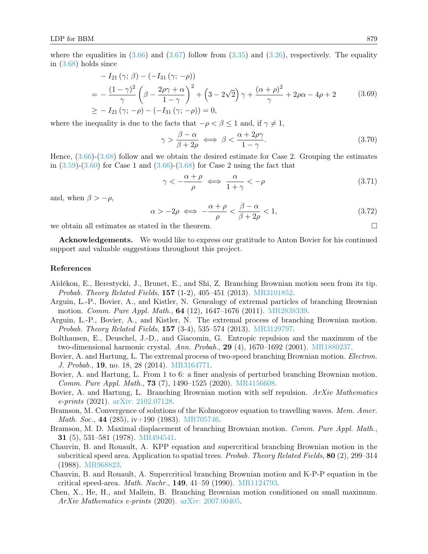where the equalities in  $(3.66)$  and  $(3.67)$  follow from  $(3.35)$  and  $(3.26)$ , respectively. The equality in [\(3.68\)](#page-19-2) holds since

$$
-I_{21}(\gamma; \beta) - (-I_{31}(\gamma; -\rho))
$$
  
= 
$$
-\frac{(1-\gamma)^2}{\gamma} \left(\beta - \frac{2\rho\gamma + \alpha}{1-\gamma}\right)^2 + \left(3 - 2\sqrt{2}\right)\gamma + \frac{(\alpha+\rho)^2}{\gamma} + 2\rho\alpha - 4\rho + 2
$$
 (3.69)  

$$
\geq -I_{21}(\gamma; -\rho) - (-I_{31}(\gamma; -\rho)) = 0,
$$

where the inequality is due to the facts that  $-\rho < \beta \leq 1$  and, if  $\gamma \neq 1$ ,

$$
\gamma > \frac{\beta - \alpha}{\beta + 2\rho} \iff \beta < \frac{\alpha + 2\rho\gamma}{1 - \gamma}.
$$
\n(3.70)

Hence, [\(3.66\)](#page-19-2)-[\(3.68\)](#page-19-2) follow and we obtain the desired estimate for Case 2. Grouping the estimates in  $(3.59)-(3.60)$  $(3.59)-(3.60)$  $(3.59)-(3.60)$  for Case 1 and  $(3.66)-(3.68)$  $(3.66)-(3.68)$  $(3.66)-(3.68)$  for Case 2 using the fact that

$$
\gamma < -\frac{\alpha + \rho}{\rho} \iff \frac{\alpha}{1 + \gamma} < -\rho \tag{3.71}
$$

and, when  $\beta > -\rho$ ,

$$
\alpha > -2\rho \iff -\frac{\alpha + \rho}{\rho} < \frac{\beta - \alpha}{\beta + 2\rho} < 1,\tag{3.72}
$$

we obtain all estimates as stated in the theorem.

Acknowledgements. We would like to express our gratitude to Anton Bovier for his continued support and valuable suggestions throughout this project.

#### References

- <span id="page-20-6"></span>Aïdékon, E., Berestycki, J., Brunet, E., and Shi, Z. Branching Brownian motion seen from its tip. *Probab. Theory Related Fields*, **157** (1-2),  $405-451$  (2013). [MR3101852.](http://www.ams.org/mathscinet-getitem?mr=MR3101852)
- <span id="page-20-4"></span>Arguin, L.-P., Bovier, A., and Kistler, N. Genealogy of extremal particles of branching Brownian motion. Comm. Pure Appl. Math., 64 (12), 1647–1676 (2011). [MR2838339.](http://www.ams.org/mathscinet-getitem?mr=MR2838339)
- <span id="page-20-5"></span>Arguin, L.-P., Bovier, A., and Kistler, N. The extremal process of branching Brownian motion. Probab. Theory Related Fields, 157 (3-4), 535–574 (2013). [MR3129797.](http://www.ams.org/mathscinet-getitem?mr=MR3129797)
- <span id="page-20-7"></span>Bolthausen, E., Deuschel, J.-D., and Giacomin, G. Entropic repulsion and the maximum of the two-dimensional harmonic crystal. Ann. Probab., 29 (4), 1670–1692 (2001). [MR1880237.](http://www.ams.org/mathscinet-getitem?mr=MR1880237)
- <span id="page-20-11"></span>Bovier, A. and Hartung, L. The extremal process of two-speed branching Brownian motion. *Electron*. J. Probab., 19, no. 18, 28 (2014). [MR3164771.](http://www.ams.org/mathscinet-getitem?mr=MR3164771)
- <span id="page-20-10"></span>Bovier, A. and Hartung, L. From 1 to 6: a finer analysis of perturbed branching Brownian motion. Comm. Pure Appl. Math., 73 (7), 1490–1525 (2020). [MR4156608.](http://www.ams.org/mathscinet-getitem?mr=MR4156608)
- <span id="page-20-0"></span>Bovier, A. and Hartung, L. Branching Brownian motion with self repulsion. ArXiv Mathematics e-prints (2021). [arXiv: 2102.07128.](http://arxiv.org/abs/2102.07128)
- <span id="page-20-3"></span>Bramson, M. Convergence of solutions of the Kolmogorov equation to travelling waves. Mem. Amer. *Math. Soc.*, 44 (285), iv $+190$  (1983). [MR705746.](http://www.ams.org/mathscinet-getitem?mr=MR705746)
- <span id="page-20-2"></span>Bramson, M. D. Maximal displacement of branching Brownian motion. Comm. Pure Appl. Math., 31 (5), 531–581 (1978). [MR494541.](http://www.ams.org/mathscinet-getitem?mr=MR494541)
- <span id="page-20-8"></span>Chauvin, B. and Rouault, A. KPP equation and supercritical branching Brownian motion in the subcritical speed area. Application to spatial trees. Probab. Theory Related Fields, 80 (2), 299–314 (1988). [MR968823.](http://www.ams.org/mathscinet-getitem?mr=MR968823)
- <span id="page-20-9"></span>Chauvin, B. and Rouault, A. Supercritical branching Brownian motion and K-P-P equation in the critical speed-area. Math. Nachr., 149, 41–59 (1990). [MR1124793.](http://www.ams.org/mathscinet-getitem?mr=MR1124793)
- <span id="page-20-1"></span>Chen, X., He, H., and Mallein, B. Branching Brownian motion conditioned on small maximum. ArXiv Mathematics e-prints (2020). [arXiv: 2007.00405.](http://arxiv.org/abs/2007.00405)